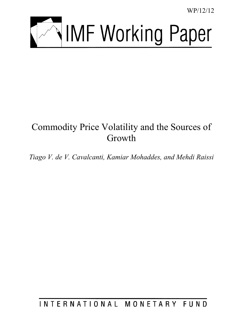WP/12/12



# Commodity Price Volatility and the Sources of Growth

*Tiago V. de V. Cavalcanti, Kamiar Mohaddes, and Mehdi Raissi* 

INTERNATIONAL MONETARY FUND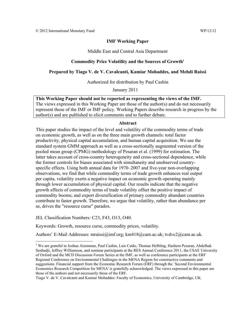#### **IMF Working Paper**

Middle East and Central Asia Department

#### Commodity Price Volatility and the Sources of Growth<sup>1</sup>

#### **Prepared by Tiago V. de V. Cavalcanti, Kamiar Mohaddes, and Mehdi Raissi**

Authorized for distribution by Paul Cashin

January 2011

**This Working Paper should not be reported as representing the views of the IMF.**  The views expressed in this Working Paper are those of the author(s) and do not necessarily represent those of the IMF or IMF policy. Working Papers describe research in progress by the author(s) and are published to elicit comments and to further debate.

#### **Abstract**

This paper studies the impact of the level and volatility of the commodity terms of trade on economic growth, as well as on the three main growth channels: total factor productivity, physical capital accumulation, and human capital acquisition. We use the standard system GMM approach as well as a cross-sectionally augmented version of the pooled mean group (CPMG) methodology of Pesaran et al. (1999) for estimation. The latter takes account of cross-country heterogeneity and cross-sectional dependence, while the former controls for biases associated with simultaneity and unobserved countryspecific effects. Using both annual data for 1970–2007 and five-year non-overlapping observations, we find that while commodity terms of trade growth enhances real output per capita, volatility exerts a negative impact on economic growth operating mainly through lower accumulation of physical capital. Our results indicate that the negative growth effects of commodity terms of trade volatility offset the positive impact of commodity booms; and export diversification of primary commodity abundant countries contribute to faster growth. Therefore, we argue that volatility, rather than abundance per se, drives the "resource curse" paradox.

JEL Classification Numbers: C23, F43, O13, O40.

 $\overline{a}$ 

Keywords: Growth, resource curse, commodity prices, volatility.

Authors' E-Mail Addresses: mraissi@imf.org; km418@cam.ac.uk; tvdvc2@cam.ac.uk.

Tiago V. de V. Cavalcanti and Kamiar Mohaddes: Faculty of Economics, University of Cambridge, UK.

<sup>&</sup>lt;sup>1</sup> We are grateful to Joshua Aizenman, Paul Cashin, Luis Catão, Thomas Helbling, Hashem Pesaran, Abdelhak Senhadji, Jeffrey Williamson, and seminar participants at the RES Annual Conference 2011, the CSAE University of Oxford and the MCD Discussion Forum Series at the IMF, as well as conference participants at the ERF Regional Conference on Environmental Challenges in the MENA Region for constructive comments and suggestions. Financial support from the Economic Research Forum (ERF) through the `Second Environmental Economics Research Competition for MENA' is gratefully acknowledged. The views expressed in this paper are those of the authors and not necessarily those of the ERF.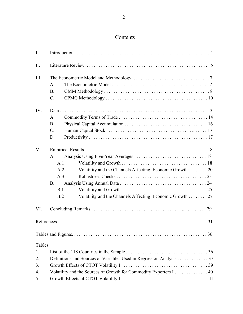# Contents

| $\mathbf{I}$ . |                 |                                                                     |  |  |  |  |  |
|----------------|-----------------|---------------------------------------------------------------------|--|--|--|--|--|
| II.            |                 |                                                                     |  |  |  |  |  |
| III.           |                 |                                                                     |  |  |  |  |  |
|                | A.              |                                                                     |  |  |  |  |  |
|                | <b>B.</b>       |                                                                     |  |  |  |  |  |
|                | $\mathcal{C}$ . |                                                                     |  |  |  |  |  |
| IV.            |                 |                                                                     |  |  |  |  |  |
|                | A.              |                                                                     |  |  |  |  |  |
|                | B.              |                                                                     |  |  |  |  |  |
|                | $C$ .           |                                                                     |  |  |  |  |  |
|                | D.              |                                                                     |  |  |  |  |  |
| V.             |                 |                                                                     |  |  |  |  |  |
|                | A.              |                                                                     |  |  |  |  |  |
|                | A.1             |                                                                     |  |  |  |  |  |
|                | A.2             | Volatility and the Channels Affecting Economic Growth 20            |  |  |  |  |  |
|                | A.3             |                                                                     |  |  |  |  |  |
|                | <b>B</b> .      |                                                                     |  |  |  |  |  |
|                | B.1             |                                                                     |  |  |  |  |  |
|                | B.2             | Volatility and the Channels Affecting Economic Growth 27            |  |  |  |  |  |
| VI.            |                 |                                                                     |  |  |  |  |  |
|                |                 |                                                                     |  |  |  |  |  |
|                |                 |                                                                     |  |  |  |  |  |
| Tables         |                 |                                                                     |  |  |  |  |  |
| 1.             |                 |                                                                     |  |  |  |  |  |
| 2.             |                 | Definitions and Sources of Variables Used in Regression Analysis 37 |  |  |  |  |  |
| 3.             |                 |                                                                     |  |  |  |  |  |
| 4.             |                 | Volatility and the Sources of Growth for Commodity Exporters I 40   |  |  |  |  |  |
| 5.             |                 |                                                                     |  |  |  |  |  |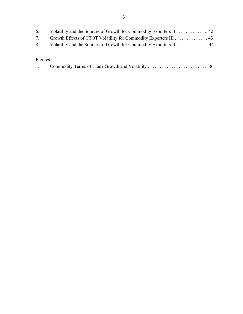| 6.      | Volatility and the Sources of Growth for Commodity Exporters II42      |
|---------|------------------------------------------------------------------------|
| 7.      | Growth Effects of CTOT Volatility for Commodity Exporters III 43       |
|         | 8. Volatility and the Sources of Growth for Commodity Exporters III 44 |
|         |                                                                        |
| Figures |                                                                        |
| 1.      |                                                                        |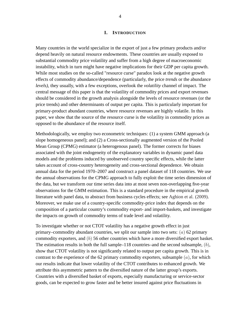#### **I. INTRODUCTION**

Many countries in the world specialize in the export of just a few primary products and/or depend heavily on natural resource endowments. These countries are usually exposed to substantial commodity price volatility and suffer from a high degree of macroeconomic instability, which in turn might have negative implications for their GDP per capita growth. While most studies on the so-called "resource curse" paradox look at the negative growth effects of commodity abundance/dependence (particularly, the price *trends* or the abundance *levels)*, they usually, with a few exceptions, overlook the *volatility* channel of impact. The central message of this paper is that the volatility of commodity prices and export revenues should be considered in the growth analysis alongside the levels of resource revenues (or the price trends) and other determinants of output per capita. This is particularly important for primary-product abundant countries, where resource revenues are highly volatile. In this paper, we show that the source of the resource curse is the volatility in commodity prices as opposed to the abundance of the resource itself.

Methodologically, we employ two econometric techniques: (1) a system GMM approach (a slope homogeneous panel); and (2) a Cross-sectionally augmented version of the Pooled Mean Group (CPMG) estimator (a heterogenous panel). The former corrects for biases associated with the joint endogeneity of the explanatory variables in dynamic panel data models and the problems induced by unobserved country specific effects, while the latter takes account of cross-country heterogeneity and cross-sectional dependence. We obtain annual data for the period 1970–2007 and construct a panel dataset of 118 countries. We use the annual observations for the CPMG approach to fully exploit the time series dimension of the data, but we transform our time series data into at most seven non-overlapping five-year observations for the GMM estimation. This is a standard procedure in the empirical growth literature with panel data, to abstract from business cycles effects; see [Aghion et al. \(2009\).](#page-31-0) Moreover, we make use of a country-specific commodity-price index that depends on the composition of a particular country's commodity export- and import-baskets, and investigate the impacts on growth of commodity terms of trade level and volatility.

To investigate whether or not CTOT volatility has a negative growth effect in just primary–commodity abundant countries, we split our sample into two sets:  $(a)$  62 primary commodity exporters, and (b) 56 other countries which have a more diversified export basket. The estimation results in both the full sample–118 countries–and the second subsample,  $(b)$ , show that CTOT volatility is not significantly related to output per capita growth. This is in contrast to the experience of the 62 primary commodity exporters, subsample  $(a)$ , for which our results indicate that lower volatility of the CTOT contributes to enhanced growth. We attribute this asymmetric pattern to the diversified nature of the latter group's exports. Countries with a diversified basket of exports, especially manufacturing or service-sector goods, can be expected to grow faster and be better insured against price fluctuations in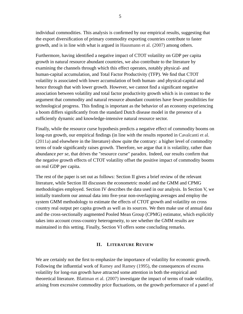individual commodities. This analysis is confirmed by our empirical results, suggesting that the export diversification of primary commodity exporting countries contribute to faster growth, and is in line with what is argued in [Hausmann et al. \(2007\)](#page-33-0) among others.

Furthermore, having identified a negative impact of CTOT volatility on GDP per capita growth in natural resource abundant countries, we also contribute to the literature by examining the channels through which this effect operates, notably physical- and human-capital accumulation, and Total Factor Productivity (TFP). We find that CTOT volatility is associated with lower accumulation of both human- and physical-capital and hence through that with lower growth. However, we cannot find a significant negative association between volatility and total factor productivity growth which is in contrast to the argument that commodity and natural resource abundant countries have fewer possibilities for technological progress. This finding is important as the behavior of an economy experiencing a boom differs significantly from the standard Dutch disease model in the presence of a sufficiently dynamic and knowledge-intensive natural resource sector.

Finally, while the resource curse hypothesis predicts a negative effect of commodity booms on long-run growth, our empirical findings (in line with the results reported in [Cavalcanti et al.](#page-32-0) [\(2011a\)](#page-32-0) and elsewhere in the literature) show quite the contrary: a higher level of commodity terms of trade significantly raises growth. Therefore, we argue that it is volatility, rather than abundance *per se*, that drives the "resource curse" paradox. Indeed, our results confirm that the negative growth effects of CTOT volatility offset the positive impact of commodity booms on real GDP per capita.

The rest of the paper is set out as follows: Section II gives a brief review of the relevant literature, while Section III discusses the econometric model and the GMM and CPMG methodologies employed. Section IV describes the data used in our analysis. In Section V, we initially transform our annual data into five-year non-overlapping averages and employ the system GMM methodology to estimate the effects of CTOT growth and volatility on cross country real output per capita growth as well as its sources. We then make use of annual data and the cross-sectionally augmented Pooled Mean Group (CPMG) estimator, which explicitly takes into account cross-country heterogeneity, to see whether the GMM results are maintained in this setting. Finally, Section VI offers some concluding remarks.

#### **II. LITERATURE REVIEW**

We are certainly not the first to emphasize the importance of volatility for economic growth. Following the influential work of [Ramey and Ramey \(1995\),](#page-34-0) the consequences of excess volatility for long-run growth have attracted some attention in both the empirical and theoretical literature. [Blattman et al. \(2007\)](#page-31-1) investigate the impact of terms of trade volatility, arising from excessive commodity price fluctuations, on the growth performance of a panel of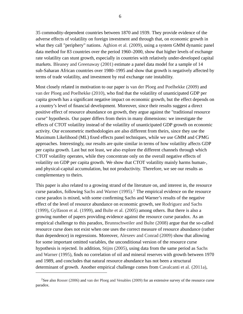35 commodity-dependent countries between 1870 and 1939. They provide evidence of the adverse effects of volatility on foreign investment and through that, on economic growth in what they call "periphery" nations. [Aghion et al. \(2009\),](#page-31-0) using a system GMM dynamic panel data method for 83 countries over the period 1960–2000, show that higher levels of exchange rate volatility can stunt growth, especially in countries with relatively under-developed capital markets. [Bleaney and Greenaway \(2001\)](#page-32-1) estimate a panel data model for a sample of 14 sub-Saharan African countries over 1980–1995 and show that growth is negatively affected by terms of trade volatility, and investment by real exchange rate instability.

Most closely related in motivation to our paper is [van der Ploeg and Poelhekke \(2009\)](#page-35-0) and [van der Ploeg and Poelhekke \(2010\),](#page-35-1) who find that the volatility of unanticipated GDP per capita growth has a significant negative impact on economic growth, but the effect depends on a country's level of financial development. Moreover, since their results suggest a direct positive effect of resource abundance on growth, they argue against the "traditional resource curse" hypothesis. Our paper differs from theirs in many dimensions: we investigate the effects of CTOT volatility instead of the volatility of unanticipated GDP growth on economic activity. Our econometric methodologies are also different from theirs, since they use the Maximum Likelihood (ML) fixed effects panel techniques, while we use GMM and CPMG approaches. Interestingly, our results are quite similar in terms of how volatility affects GDP per capita growth. Last but not least, we also explore the different channels through which CTOT volatility operates, while they concentrate only on the overall negative effects of volatility on GDP per capita growth. We show that CTOT volatility mainly harms human-, and physical-capital accumulation, but not productivity. Therefore, we see our results as complementary to theirs.

This paper is also related to a growing strand of the literature on, and interest in, the resource curse paradox, following [Sachs and Warner \(1995\).](#page-34-1) [2](#page-6-0) The empirical evidence on the resource curse paradox is mixed, with some confirming Sachs and Warner's results of the negative effect of the level of resource abundance on economic growth, see [Rodriguez and Sachs](#page-34-2) [\(1999\),](#page-34-2) [Gylfason et al. \(1999\),](#page-33-1) and [Bulte et al. \(2005\)](#page-32-2) among others. But there is also a growing number of papers providing evidence against the resource curse paradox. As an empirical challenge to this paradox, [Brunnschweiler and Bulte \(2008\)](#page-32-3) argue that the so-called resource curse does not exist when one uses the correct measure of resource abundance (rather than dependence) in regressions. Moreover, [Alexeev and Conrad \(2009\)](#page-31-2) show that allowing for some important omitted variables, the unconditional version of the resource curse hypothesis is rejected. In addition, [Stijns \(2005\),](#page-35-2) using data from the same period as [Sachs](#page-34-1) [and Warner \(1995\),](#page-34-1) finds no correlation of oil and mineral reserves with growth between 1970 and 1989, and concludes that natural resource abundance has not been a structural determinant of growth. Another empirical challenge comes from [Cavalcanti et al. \(2011a\),](#page-32-0)

<span id="page-6-0"></span><sup>&</sup>lt;sup>2</sup>See also [Rosser \(2006\)](#page-34-3) and [van der Ploeg and Venables \(2009\)](#page-35-3) for an extensive survey of the resource curse paradox.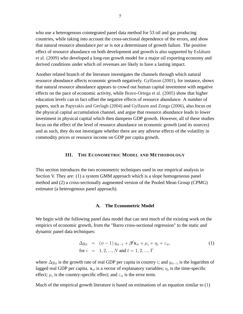who use a heterogenous cointegrated panel data method for 53 oil and gas producing countries, while taking into account the cross-sectional dependence of the errors, and show that natural resource abundance *per se* is not a determinant of growth failure. The positive effect of resource abundance on both development and growth is also supported by [Esfahani](#page-32-4) [et al. \(2009\)](#page-32-4) who developed a long-run growth model for a major oil exporting economy and derived conditions under which oil revenues are likely to have a lasting impact.

Another related branch of the literature investigates the channels through which natural resource abundance affects economic growth negatively. [Gylfason \(2001\),](#page-32-5) for instance, shows that natural resource abundance appears to crowd out human capital investment with negative effects on the pace of economic activity, while [Bravo-Ortega et al. \(2005\)](#page-32-6) show that higher education levels can in fact offset the negative effects of resource abundance. A number of papers, such as [Papyrakis and Gerlagh \(2004\)](#page-34-4) and [Gylfason and Zoega \(2006\),](#page-33-2) also focus on the physical capital accumulation channel, and argue that resource abundance leads to lower investment in physical capital which then dampens GDP growth. However, all of these studies focus on the effect of the level of resource abundance on economic growth (and its sources) and as such, they do not investigate whether there are any adverse effects of the volatility in commodity prices or resource income on GDP per capita growth.

#### **III. THE ECONOMETRIC MODEL AND METHODOLOGY**

This section introduces the two econometric techniques used in our empirical analysis in Section V. They are: (1) a system GMM approach which is a slope homogeneous panel method and (2) a cross-sectionally augmented version of the Pooled Mean Group (CPMG) estimator (a heterogenous panel approach).

#### **A. The Econometric Model**

We begin with the following panel data model that can nest much of the existing work on the empirics of economic growth, from the "Barro cross-sectional regression" to the static and dynamic panel data techniques:

<span id="page-7-0"></span>
$$
\Delta y_{it} = (\phi - 1) y_{it-1} + \beta' \mathbf{x}_{it} + \mu_i + \eta_t + \varepsilon_{it},
$$
  
for  $i = 1, 2, ..., N$  and  $t = 1, 2, ..., T$  (1)

where  $\Delta y_{it}$  is the growth rate of real GDP per capita in country *i*; and  $y_{it-1}$  is the logarithm of lagged real GDP per capita.  $\mathbf{x}_{it}$  is a vector of explanatory variables;  $\eta_t$  is the time-specific effect;  $\mu_i$  is the country-specific effect; and  $\varepsilon_{it}$  is the error term.

Much of the empirical growth literature is based on estimations of an equation similar to [\(1\)](#page-7-0)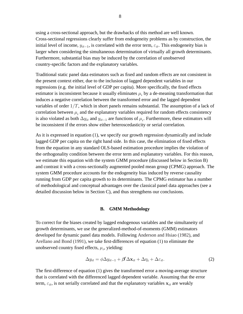using a cross-sectional approach, but the drawbacks of this method are well known. Cross-sectional regressions clearly suffer from endogeneity problems as by construction, the initial level of income,  $y_{it-1}$ , is correlated with the error term,  $\varepsilon_{it}$ . This endogeneity bias is larger when considering the simultaneous determination of virtually all growth determinants. Furthermore, substantial bias may be induced by the correlation of unobserved country-specific factors and the explanatory variables.

Traditional static panel data estimators such as fixed and random effects are not consistent in the present context either, due to the inclusion of lagged dependent variables in our regressions (e.g. the initial level of GDP per capita). More specifically, the fixed effects estimator is inconsistent because it usually eliminates  $\mu_i$  by a de-meaning transformation that induces a negative correlation between the transformed error and the lagged dependent variables of order  $1/T$ , which in short panels remains substantial. The assumption of a lack of correlation between  $\mu_i$  and the explanatory variables required for random effects consistency is also violated as both  $\Delta y_{it}$  and  $y_{it-1}$  are functions of  $\mu_i$ . Furthermore, these estimators will be inconsistent if the errors show either heteroscedasticity or serial correlation.

As it is expressed in equation [\(1\)](#page-7-0), we specify our growth regression dynamically and include lagged GDP per capita on the right hand side. In this case, the elimination of fixed effects from the equation in any standard OLS-based estimation procedure implies the violation of the orthogonality condition between the error term and explanatory variables. For this reason, we estimate this equation with the system GMM procedure (discussed below in Section B) and contrast it with a cross-sectionally augmented pooled mean group (CPMG) approach. The system GMM procedure accounts for the endogeneity bias induced by reverse causality running from GDP per capita growth to its determinants. The CPMG estimator has a number of methodological and conceptual advantages over the classical panel data approaches (see a detailed discussion below in Section C), and thus strengthens our conclusions.

#### **B. GMM Methodology**

To correct for the biases created by lagged endogenous variables and the simultaneity of growth determinants, we use the generalized-method-of-moments (GMM) estimators developed for dynamic panel data models. Following [Anderson and Hsiao \(1982\),](#page-31-3) and [Arellano and Bond \(1991\),](#page-31-4) we take first-differences of equation [\(1\)](#page-7-0) to eliminate the unobserved country fixed effects,  $\mu_i$ , yielding:

$$
\Delta y_{it} = \phi \Delta y_{it-1} + \beta' \Delta \mathbf{x}_{it} + \Delta \eta_t + \Delta \varepsilon_{it}.
$$
 (2)

The first-difference of equation [\(1\)](#page-7-0) gives the transformed error a moving-average structure that is correlated with the differenced lagged dependent variable. Assuming that the error term,  $\varepsilon_{it}$ , is not serially correlated and that the explanatory variables  $x_{it}$  are weakly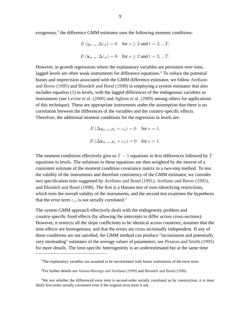exogenous, $3$  the difference GMM estimator uses the following moment conditions:

$$
E(y_{it-s}, \Delta \varepsilon_{it}) = 0 \quad \text{for } s \ge 2 \text{ and } t = 3, ...T,
$$
  

$$
E(\mathbf{x}_{it-s}, \Delta \varepsilon_{it}) = 0 \quad \text{for } s \ge 2 \text{ and } t = 3, ...T.
$$

However, in growth regressions where the explanatory variables are persistent over time, lagged levels are often weak instruments for difference equations.<sup>[4](#page-9-1)</sup> To reduce the potential biases and imprecision associated with the GMM difference estimator, we follow [Arellano](#page-31-5) [and Bover \(1995\)](#page-31-5) and [Blundell and Bond \(1998\)](#page-32-7) in employing a system estimator that also includes equation [\(1\)](#page-7-0) in levels, with the lagged differences of the endogenous variables as instruments (see [Levine et al. \(2000\)](#page-33-3) and [Aghion et al. \(2009\)](#page-31-0) among others for applications of this technique). These are appropriate instruments under the assumption that there is no correlation between the differences of the variables and the country-specific effects. Therefore, the additional moment conditions for the regression in levels are:

$$
E(\Delta y_{it-s}, \mu_i + \varepsilon_{it}) = 0 \quad \text{for } s = 1,
$$
  

$$
E(\Delta \mathbf{x}_{it-s}, \mu_i + \varepsilon_{it}) = 0 \quad \text{for } s = 1.
$$

The moment conditions effectively give us  $T - 1$  equations in first differences followed by  $T$ equations in levels. The solutions to these equations are then weighted by the inverse of a consistent estimate of the moment condition covariance matrix in a two-step method. To test the validity of the instruments and therefore consistency of the GMM estimator, we consider two specification tests suggested by [Arellano and Bond \(1991\),](#page-31-4) [Arellano and Bover \(1995\),](#page-31-5) and [Blundell and Bond \(1998\).](#page-32-7) The first is a Hansen test of over-identifying restrictions, which tests the overall validity of the instruments, and the second test examines the hypothesis that the error term  $\varepsilon_{i,t}$  is not serially correlated.<sup>[5](#page-9-2)</sup>

The system GMM approach effectively deals with the endogeneity problem and country-specific fixed effects (by allowing the intercepts to differ across cross-sections). However, it restricts all the slope coefficients to be identical across countries; assumes that the time effects are homogenous; and that the errors are cross sectionally independent. If any of these conditions are not satisfied, the GMM method can produce "inconsistent and potentially very misleading" estimates of the average values of parameters; see [Pesaran and Smith \(1995\)](#page-34-5) for more details. The time-specific heterogeneity is an underestimated but at the same time

<span id="page-9-0"></span><sup>&</sup>lt;sup>3</sup>The explanatory variables are assumed to be uncorrelated with future realizations of the error term.

<span id="page-9-1"></span><sup>4</sup>For further details see [Alonso-Borrego and Arellano \(1999\)](#page-31-6) and [Blundell and Bond \(1998\).](#page-32-7)

<span id="page-9-2"></span><sup>&</sup>lt;sup>5</sup>We test whether the differenced error term is second-order serially correlated as by construction, it is most likely first-order serially correlated even if the original error term is not.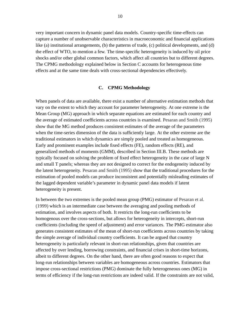very important concern in dynamic panel data models. Country-specific time-effects can capture a number of unobservable characteristics in macroeconomic and financial applications like (a) institutional arrangements, (b) the patterns of trade, (c) political developments, and (d) the effect of WTO, to mention a few. The time-specific heterogeneity is induced by oil price shocks and/or other global common factors, which affect all countries but to different degrees. The CPMG methodology explained below in Section C accounts for heterogenous time effects and at the same time deals with cross-sectional dependencies effectively.

#### **C. CPMG Methodology**

When panels of data are available, there exist a number of alternative estimation methods that vary on the extent to which they account for parameter heterogeneity. At one extreme is the Mean Group (MG) approach in which separate equations are estimated for each country and the average of estimated coefficients across countries is examined. [Pesaran and Smith \(1995\)](#page-34-5) show that the MG method produces consistent estimates of the average of the parameters when the time-series dimension of the data is sufficiently large. At the other extreme are the traditional estimators in which dynamics are simply pooled and treated as homogeneous. Early and prominent examples include fixed effects (FE), random effects (RE), and generalized methods of moments (GMM), described in Section III.B. These methods are typically focused on solving the problem of fixed effect heterogeneity in the case of large N and small T panels; whereas they are not designed to correct for the endogeneity induced by the latent heterogeneity. [Pesaran and Smith \(1995\)](#page-34-5) show that the traditional procedures for the estimation of pooled models can produce inconsistent and potentially misleading estimates of the lagged dependent variable's parameter in dynamic panel data models if latent heterogeneity is present.

In between the two extremes is the pooled mean group (PMG) estimator of [Pesaran et al.](#page-34-6) [\(1999\)](#page-34-6) which is an intermediate case between the averaging and pooling methods of estimation, and involves aspects of both. It restricts the long-run coefficients to be homogenous over the cross-sections, but allows for heterogeneity in intercepts, short-run coefficients (including the speed of adjustment) and error variances. The PMG estimator also generates consistent estimates of the mean of short-run coefficients across countries by taking the simple average of individual country coefficients. It can be argued that country heterogeneity is particularly relevant in short-run relationships, given that countries are affected by over lending, borrowing constraints, and financial crises in short-time horizons, albeit to different degrees. On the other hand, there are often good reasons to expect that long-run relationships between variables are homogeneous across countries. Estimators that impose cross-sectional restrictions (PMG) dominate the fully heterogeneous ones (MG) in terms of efficiency if the long-run restrictions are indeed valid. If the constraints are not valid,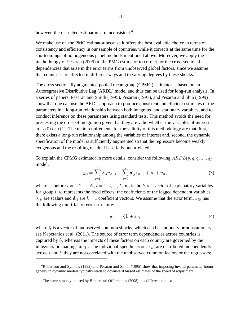however, the restricted estimators are inconsistent.<sup>[6](#page-11-0)</sup>

We make use of the PMG estimator because it offers the best available choice in terms of consistency and efficiency in our sample of countries, while it corrects at the same time for the shortcomings of homogeneous panel methods mentioned above. Moreover, we apply the methodology of [Pesaran \(2006\)](#page-34-7) to the PMG estimator to correct for the cross-sectional dependencies that arise in the error terms from unobserved global factors, since we assume that countries are affected in different ways and to varying degrees by these shocks.<sup>[7](#page-11-1)</sup>

The cross sectionally augmented pooled mean group (CPMG) estimator is based on an Autoregressive Distributive Lag (ARDL) model and thus can be used for long-run analysis. In a series of papers, [Pesaran and Smith \(1995\),](#page-34-5) [Pesaran \(1997\),](#page-34-8) and [Pesaran and Shin \(1999\)](#page-34-9) show that one can use the ARDL approach to produce consistent and efficient estimates of the parameters in a long-run relationship between both integrated and stationary variables, and to conduct inference on these parameters using standard tests. This method avoids the need for pre-testing the order of integration given that they are valid whether the variables of interest are  $I(0)$  or  $I(1)$ . The main requirements for the validity of this methodology are that, first, there exists a long-run relationship among the variables of interest and, second, the dynamic specification of the model is sufficiently augmented so that the regressors become weakly exogenous and the resulting residual is serially uncorrelated.

To explain the CPMG estimator in more details, consider the following  $ARDL(p, q, q, ..., q)$ model:

<span id="page-11-2"></span>
$$
y_{it} = \sum_{j=1}^{p} \lambda_{ij} y_{it-j} + \sum_{j=0}^{q} \delta'_{ij} \mathbf{x}_{it-j} + \mu_i + u_{it}, \qquad (3)
$$

where as before  $i = 1, 2, ..., N$ ,  $t = 1, 2, ..., T$ ,  $\mathbf{x}_{it}$  is the  $k \times 1$  vector of explanatory variables for group  $i$ ,  $\mu_i$  represents the fixed effects; the coefficients of the lagged dependent variables,  $\lambda_{ij}$ , are scalars and  $\delta_{ij}$  are  $k \times 1$  coefficient vectors. We assume that the error term,  $u_{it}$ , has the following multi-factor error structure:

<span id="page-11-3"></span>
$$
u_{it} = \gamma_i' \mathbf{f}_t + \varepsilon_{it},\tag{4}
$$

where  $f_t$  is a vector of unobserved common shocks, which can be stationary or nonstationary; see [Kapetanios et al. \(2011\).](#page-33-4) The source of error term dependencies across countries is captured by  $f_t$ , whereas the impacts of these factors on each country are governed by the idiosyncratic loadings in  $\gamma_i$ . The individual-specific errors,  $\varepsilon_{it}$ , are distributed independently across  $i$  and  $t$ ; they are not correlated with the unobserved common factors or the regressors;

<span id="page-11-0"></span><sup>&</sup>lt;sup>6</sup>[Robertson and Symons \(1992\)](#page-34-10) and [Pesaran and Smith \(1995\)](#page-34-5) show that imposing invalid parameter homogeneity in dynamic models typically leads to downward biased estimates of the speed of adjustment.

<span id="page-11-1"></span><sup>&</sup>lt;sup>7</sup>The same strategy in used by [Binder and Offermanns \(2008\)](#page-31-7) in a different context.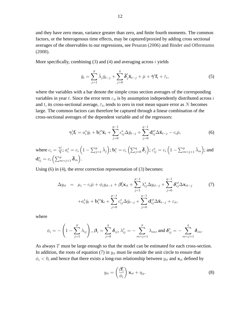and they have zero mean, variance greater than zero, and finite fourth moments. The common factors, or the heterogenous time effects, may be captured/proxied by adding cross sectional averages of the observables to our regressions, see [Pesaran \(2006\)](#page-34-7) and [Binder and Offermanns](#page-31-7) [\(2008\).](#page-31-7)

More specifically, combining  $(3)$  and  $(4)$  and averaging across i yields

$$
\bar{y}_t = \sum_{j=1}^p \bar{\lambda}_j \bar{y}_{t-j} + \sum_{j=0}^q \bar{\delta}'_j \bar{\mathbf{x}}_{t-j} + \bar{\mu} + \bar{\gamma}' \mathbf{f}_t + \bar{\varepsilon}_t, \tag{5}
$$

where the variables with a bar denote the simple cross section averages of the corresponding variables in year t. Since the error term  $\varepsilon_{it}$  is by assumption independently distributed across i and t, its cross-sectional average,  $\bar{\varepsilon}_t$ , tends to zero in root mean square error as N becomes large. The common factors can therefore be captured through a linear combination of the cross-sectional averages of the dependent variable and of the regressors:

<span id="page-12-0"></span>
$$
\gamma_i' \mathbf{f}_t = a_i^* \bar{y}_t + \mathbf{b}_i^{*'} \bar{\mathbf{x}}_t + \sum_{j=0}^{p-1} c_{ij}^* \Delta \bar{y}_{t-j} + \sum_{j=0}^{q-1} \mathbf{d}_{ij}^{*'} \Delta \bar{\mathbf{x}}_{t-j} - c_i \bar{\mu}, \tag{6}
$$

where  $c_i = \frac{\gamma_i'}{\bar{\gamma}}$ ;  $a_i^* = c_i \left(1 - \sum_{j=1}^p \bar{\lambda}_j\right)$ ;  $\mathbf{b}_i^* = c_i \left(\sum_{j=0}^q \bar{\boldsymbol{\delta}}_j\right)$ ;  $c_{ij}^* = c_i \left(1 - \sum_{m=j+1}^p \bar{\lambda}_m\right)$ ; and  $\mathbf{d}_{ij}^* = c_i \left( \sum_{m=j+1}^p \boldsymbol{\bar\delta}_m \right) .$ 

Using [\(6\)](#page-12-0) in [\(4\)](#page-11-3), the error correction representation of [\(3\)](#page-11-2) becomes:

<span id="page-12-1"></span>
$$
\Delta y_{it} = \mu_{i} - c_{i}\bar{\mu} + \phi_{i}y_{it-1} + \beta'_{i}\mathbf{x}_{it} + \sum_{j=1}^{p-1} \lambda_{ij}^{*}\Delta y_{it-j} + \sum_{j=0}^{q-1} \delta_{ij}^{*}/\Delta \mathbf{x}_{it-j}
$$
(7)  

$$
+ a_{i}^{*}\bar{y}_{t} + \mathbf{b}_{i}^{*}\bar{\mathbf{x}}_{t} + \sum_{j=0}^{p-1} c_{ij}^{*}\Delta \bar{y}_{t-j} + \sum_{j=0}^{q-1} \mathbf{d}_{ij}^{*}/\Delta \bar{\mathbf{x}}_{t-j} + \varepsilon_{it},
$$

where

$$
\phi_i = -\left(1 - \sum_{j=1}^p \lambda_{ij}\right), \beta_i = \sum_{j=0}^q \delta_{ij}, \lambda_{ij}^* = -\sum_{m=j+1}^p \lambda_{im}, \text{ and } \delta_{ij}^* = -\sum_{m=j+1}^q \delta_{im}.
$$

As always T must be large enough so that the model can be estimated for each cross-section. In addition, the roots of equation [\(7\)](#page-12-1) in  $y_{it}$  must lie outside the unit circle to ensure that  $\phi_i$  < 0, and hence that there exists a long-run relationship between  $y_{it}$  and  $\mathbf{x}_{it}$  defined by

$$
y_{it} = \left(\frac{\beta_i'}{\phi_i}\right) \mathbf{x}_{it} + \eta_{it}.
$$
 (8)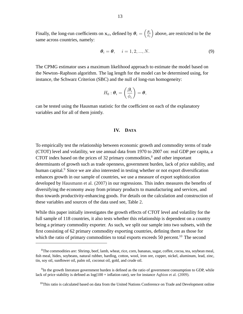Finally, the long-run coefficients on  $\mathbf{x}_{it}$ , defined by  $\boldsymbol{\theta}_i = \left(\frac{\beta_i}{\phi}\right)$  $\phi_i$  above, are restricted to be the same across countries, namely:

$$
\boldsymbol{\theta}_i = \boldsymbol{\theta}, \quad i = 1, 2, ..., N. \tag{9}
$$

The CPMG estimator uses a maximum likelihood approach to estimate the model based on the Newton–Raphson algorithm. The lag length for the model can be determined using, for instance, the Schwarz Criterion (SBC) and the null of long-run homogeneity:

$$
H_0: \boldsymbol{\theta}_i = \left(\frac{\boldsymbol{\beta}_i}{\phi_i}\right) = \boldsymbol{\theta},
$$

can be tested using the Hausman statistic for the coefficient on each of the explanatory variables and for all of them jointly.

#### **IV. DATA**

To empirically test the relationship between economic growth and commodity terms of trade (CTOT) level and volatility, we use annual data from 1970 to 2007 on: real GDP per capita, a CTOT index based on the prices of 32 primary commodities, ${}^{8}$  ${}^{8}$  ${}^{8}$  and other important determinants of growth such as trade openness, government burden, lack of price stability, and human capital.<sup>[9](#page-13-1)</sup> Since we are also interested in testing whether or not export diversification enhances growth in our sample of countries, we use a measure of export sophistication developed by [Hausmann et al. \(2007\)](#page-33-0) in our regressions. This index measures the benefits of diversifying the economy away from primary products to manufacturing and services, and thus towards productivity-enhancing goods. For details on the calculation and construction of these variables and sources of the data used see, Table [2.](#page-37-0)

While this paper initially investigates the growth effects of CTOT level and volatility for the full sample of 118 countries, it also tests whether this relationship is dependent on a country being a primary commodity exporter. As such, we split our sample into two subsets, with the first consisting of 62 primary commodity exporting countries, defining them as those for which the ratio of primary commodities to total exports exceeds 50 percent.<sup>[10](#page-13-2)</sup> The second

<span id="page-13-0"></span><sup>&</sup>lt;sup>8</sup>The commodities are: Shrimp, beef, lamb, wheat, rice, corn, bananas, sugar, coffee, cocoa, tea, soybean meal, fish meal, hides, soybeans, natural rubber, hardlog, cotton, wool, iron ore, copper, nickel, aluminum, lead, zinc, tin, soy oil, sunflower oil, palm oil, coconut oil, gold, and crude oil.

<span id="page-13-1"></span><sup>&</sup>lt;sup>9</sup>In the growth literature government burden is defined as the ratio of government consumption to GDP, while lack of price stability is defined as log(100 + inflation rate), see for instance [Aghion et al. \(2009\).](#page-31-0)

<span id="page-13-2"></span><sup>&</sup>lt;sup>10</sup>This ratio is calculated based on data from the United Nations Conference on Trade and Development online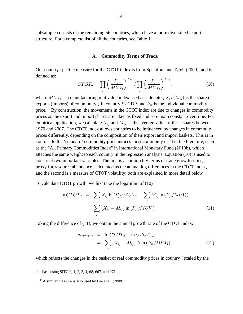subsample consists of the remaining 56 countries, which have a more diversified export structure. For a complete list of all the countries, see Table [1.](#page-36-0)

#### **A. Commodity Terms of Trade**

Our country-specific measure for the CTOT index is from [Spatafora and Tytell \(2009\),](#page-35-4) and is defined as:

<span id="page-14-1"></span>
$$
CTOT_{it} = \prod_{j} \left(\frac{P_{jt}}{MUV_t}\right)^{X_{ij}} / \prod_{j} \left(\frac{P_{jt}}{MUV_t}\right)^{M_{ij}},\tag{10}
$$

where  $MUV_t$  is a manufacturing unit value index used as a deflator,  $X_{ij}$   $(M_{ij})$  is the share of exports (imports) of commodity j in country i's GDP, and  $P_{it}$  is the individual commodity price.<sup>[11](#page-14-0)</sup> By construction, the movements in the CTOT index are due to changes in commodity prices as the export and import shares are taken as fixed and so remain constant over time. For empirical application, we calculate  $X_{ij}$  and  $M_{ij}$  as the average value of these shares between 1970 and 2007. The CTOT index allows countries to be influenced by changes in commodity prices differently, depending on the composition of their export and import baskets. This is in contrast to the 'standard' commodity price indices most commonly used in the literature, such as the "All Primary Commodities Index" in [International Monetary Fund \(2010b\),](#page-33-5) which attaches the same weight to each country in the regression analysis. Equation [\(10\)](#page-14-1) is used to construct two important variables. The first is a commodity terms of trade growth series, a proxy for resource abundance, calculated as the annual log differences in the CTOT index, and the second is a measure of CTOT volatility; both are explained in more detail below.

To calculate CTOT growth, we first take the logarithm of [\(10\)](#page-14-1)

<span id="page-14-2"></span>
$$
\ln CTOT_{it} = \sum_{j} X_{ij} \ln (P_{jt}/MUV_t) - \sum_{j} M_{ij} \ln (P_{jt}/MUV_t)
$$

$$
= \sum_{j} (X_{ij} - M_{ij}) \ln (P_{jt}/MUV_t).
$$
(11)

Taking the difference of [\(11\)](#page-14-2), we obtain the annual growth rate of the CTOT index:

$$
g_{CTOT,it} = \ln CTOT_{it} - \ln CTOT_{it-1}
$$
  
= 
$$
\sum_{j} (X_{ij} - M_{ij}) \Delta \ln (P_{jt}/MUV_t),
$$
 (12)

which reflects the changes in the basket of real commodity prices in country  $i$  scaled by the

database using SITC 0, 1, 2, 3, 4, 68, 667, and 971.

<span id="page-14-0"></span> $11$ A similar measure is also used by [Lee et al. \(2008\).](#page-33-6)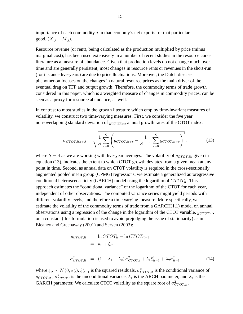importance of each commodity  $j$  in that economy's net exports for that particular good,  $(X_{ij} - M_{ij}).$ 

Resource revenue (or rent), being calculated as the production multiplied by price (minus marginal cost), has been used extensively in a number of recent studies in the resource curse literature as a measure of abundance. Given that production levels do not change much over time and are generally persistent, most changes in resource rents or revenues in the short-run (for instance five-years) are due to price fluctuations. Moreover, the Dutch disease phenomenon focuses on the changes in natural resource prices as the main driver of the eventual drag on TFP and output growth. Therefore, the commodity terms of trade growth considered in this paper, which is a weighted measure of changes in commodity prices, can be seen as a proxy for resource abundance, as well.

In contrast to most studies in the growth literature which employ time-invariant measures of volatility, we construct two time-varying measures. First, we consider the five year non-overlapping standard deviation of  $g_{CTOT,it}$ , annual growth rates of the CTOT index,

<span id="page-15-0"></span>
$$
\sigma_{CTOT, it, t+S} = \sqrt{\frac{1}{S} \sum_{s=0}^{S} \left( g_{CTOT, it+s} - \frac{1}{S+1} \sum_{s=0}^{S} g_{CTOT, it+s} \right)^2},\tag{13}
$$

where  $S = 4$  as we are working with five-year averages. The volatility of  $g_{CTOT,it}$ , given in equation [\(13\)](#page-15-0), indicates the extent to which CTOT growth deviates from a given mean at any point in time. Second, as annual data on CTOT volatility is required in the cross-sectionally augmented pooled mean group (CPMG) regressions, we estimate a generalized autoregressive conditional heteroscedasticity (GARCH) model using the logarithm of  $CTOT_{it}$ . This approach estimates the "conditional variance" of the logarithm of the CTOT for each year, independent of other observations. The computed variance series might yield periods with different volatility levels, and therefore a time varying measure. More specifically, we estimate the volatility of the commodity terms of trade from a GARCH(1,1) model on annual observations using a regression of the change in the logarithm of the CTOT variable,  $q_{CTOT\,it}$ , on a constant (this formulation is used to avoid prejudging the issue of stationarity) as in [Bleaney and Greenaway \(2001\)](#page-32-1) and [Serven \(2003\):](#page-35-5)

$$
g_{CTOT,it} = \ln CTOT_{it} - \ln CTOT_{it-1}
$$
  
\n
$$
= \kappa_0 + \xi_{it}
$$
  
\n
$$
\sigma_{CTOT,it}^2 = (1 - \lambda_1 - \lambda_2) \sigma_{CTOT,i}^2 + \lambda_1 \xi_{it-1}^2 + \lambda_2 \sigma_{it-1}^2
$$
 (14)

where  $\xi_{it} \sim N(0, \sigma_{it}^2), \xi_{it}^2$  $\sum_{i=1}^{2}$  is the squared residuals,  $\sigma_{CTOT, it}^2$  is the conditional variance of  $g_{CTOT,it}$ ,  $\sigma_{CTOT,i}^2$  is the unconditional variance,  $\lambda_1$  is the ARCH parameter, and  $\lambda_2$  is the GARCH parameter. We calculate CTOT volatility as the square root of  $\sigma_{CTOT,it}^2$ .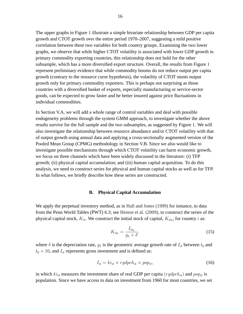The upper graphs in Figure [1](#page-38-0) illustrate a simple bivariate relationship between GDP per capita growth and CTOT growth over the entire period 1970–2007, suggesting a mild positive correlation between these two variables for both country groups. Examining the two lower graphs, we observe that while higher CTOT volatility is associated with lower GDP growth in primary commodity exporting countries, this relationship does not hold for the other subsample, which has a more diversified export structure. Overall, the results from Figure [1](#page-38-0) represent preliminary evidence that while commodity booms do not reduce output per capita growth (contrary to the resource curse hypothesis), the volatility of CTOT stunts output growth only for primary commodity exporters. This is perhaps not surprising as those countries with a diversified basket of exports, especially manufacturing or service-sector goods, can be expected to grow faster and be better insured against price fluctuations in individual commodities.

In Section V.A, we will add a whole range of control variables and deal with possible endogeneity problems through the system GMM approach, to investigate whether the above results survive for the full sample and the two subsamples, as suggested by Figure [1.](#page-38-0) We will also investigate the relationship between resource abundance and/or CTOT volatility with that of output growth using annual data and applying a cross-sectionally augmented version of the Pooled Mean Group (CPMG) methodology in Section V.B. Since we also would like to investigate possible mechanisms through which CTOT volatility can harm economic growth, we focus on three channels which have been widely discussed in the literature: (i) TFP growth; (ii) physical capital accumulation; and (iii) human capital acquisition. To do this analysis, we need to construct series for physical and human capital stocks as well as for TFP. In what follows, we briefly describe how these series are constructed.

#### **B. Physical Capital Accumulation**

We apply the perpetual inventory method, as in [Hall and Jones \(1999\)](#page-33-7) for instance, to data from the Penn World Tables (PWT) 6.3; see [Heston et al. \(2009\),](#page-33-8) to construct the series of the physical capital stock,  $K_{it}$ . We construct the initial stock of capital,  $K_{it_0}$ , for country i as:

$$
K_{it_0} = \frac{I_{it_0}}{g_I + \delta},\tag{15}
$$

where  $\delta$  is the depreciation rate,  $g_I$  is the geometric average growth rate of  $I_{it}$  between  $t_0$  and  $t_0 + 10$ , and  $I_{it}$  represents gross investment and is defined as:

$$
I_{it} = k i_{it} \times r g d p ch_{it} \times p o p_{it}, \qquad (16)
$$

in which  $ki_{it}$  measures the investment share of real GDP per capita ( $rgdpch_{it}$ ) and  $pop_{it}$  is population. Since we have access to data on investment from 1960 for most countries, we set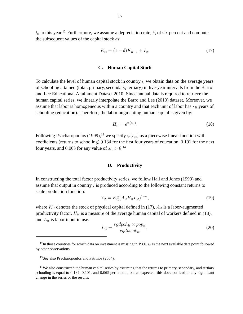$t_0$  to this year.<sup>[12](#page-17-0)</sup> Furthermore, we assume a depreciation rate,  $\delta$ , of six percent and compute the subsequent values of the capital stock as:

<span id="page-17-3"></span>
$$
K_{it} = (1 - \delta)K_{it-1} + I_{it}.
$$
\n(17)

#### **C. Human Capital Stock**

To calculate the level of human capital stock in country  $i$ , we obtain data on the average years of schooling attained (total, primary, secondary, tertiary) in five-year intervals from the Barro and Lee Educational Attainment Dataset 2010. Since annual data is required to retrieve the human capital series, we linearly interpolate the [Barro and Lee \(2010\)](#page-31-8) dataset. Moreover, we assume that labor is homogeneous within a country and that each unit of labor has  $s_{it}$  years of schooling (education). Therefore, the labor-augmenting human capital is given by:

<span id="page-17-4"></span>
$$
H_{it} = e^{\psi(s_{it})}.
$$
\n<sup>(18)</sup>

Following [Psacharopoulos \(1999\),](#page-34-11)<sup>[13](#page-17-1)</sup> we specify  $\psi(s_{it})$  as a piecewise linear function with coefficients (returns to schooling) 0:134 for the first four years of education, 0:101 for the next four years, and 0.068 for any value of  $s_{it} > 8$ .<sup>[14](#page-17-2)</sup>

#### **D. Productivity**

In constructing the total factor productivity series, we follow [Hall and Jones \(1999\)](#page-33-7) and assume that output in country  $i$  is produced according to the following constant returns to scale production function:

$$
Y_{it} = K_{it}^{\alpha} (A_{it} H_{it} L_{it})^{1-\alpha},\tag{19}
$$

where  $K_{it}$  denotes the stock of physical capital defined in [\(17\)](#page-17-3),  $A_{it}$  is a labor-augmented productivity factor,  $H_{it}$  is a measure of the average human capital of workers defined in [\(18\)](#page-17-4), and  $L_{it}$  is labor input in use:

$$
L_{it} = \frac{rgdpch_{it} \times pop_{it}}{rgdpwok_{it}},\tag{20}
$$

<span id="page-17-0"></span> $12$ In those countries for which data on investment is missing in 1960,  $t_0$  is the next available data point followed by other observations.

<span id="page-17-1"></span><sup>&</sup>lt;sup>13</sup>See also [Psacharopoulos and Patrinos \(2004\).](#page-34-12)

<span id="page-17-2"></span><sup>&</sup>lt;sup>14</sup>We also constructed the human capital series by assuming that the returns to primary, secondary, and tertiary schooling is equal to  $0.134$ ,  $0.101$ , and  $0.068$  per annum, but as expected, this does not lead to any significant change in the series or the results.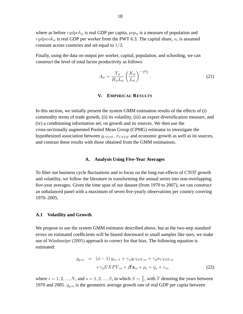where as before  $rgdpch_{it}$  is real GDP per capita,  $pop_{it}$  is a measure of population and rgdpwok<sub>it</sub> is real GDP per worker from the PWT 6.3. The capital share,  $\alpha$ , is assumed constant across countries and set equal to  $1/3$ .

Finally, using the data on output per worker, capital, population, and schooling, we can construct the level of total factor productivity as follows:

$$
A_{it} = \frac{Y_{it}}{H_{it} L_{it}} \left(\frac{K_{it}}{L_{it}}\right)^{-\frac{\alpha}{1-\alpha}}.\tag{21}
$$

#### **V. EMPIRICAL RESULTS**

In this section, we initially present the system GMM estimation results of the effects of (i) commodity terms of trade growth, (ii) its volatility, (iii) an export diversification measure, and (iv) a conditioning information set, on growth and its sources. We then use the cross-sectionally augmented Pooled Mean Group (CPMG) estimator to investigate the hypothesized association between  $g_{CTOT}$ ,  $\sigma_{CTOT}$  and economic growth as well as its sources, and contrast these results with those obtained from the GMM estimations.

#### **A. Analysis Using Five-Year Averages**

To filter out business cycle fluctuations and to focus on the long-run effects of CTOT growth and volatility, we follow the literature in transforming the annual series into non-overlapping five-year averages. Given the time span of our dataset (from 1970 to 2007), we can construct an unbalanced panel with a maximum of seven five-yearly observations per country covering 1970–2005.

#### **A.1 Volatility and Growth**

We propose to use the system GMM estimator described above, but as the two-step standard errors on estimated coefficients will be biased downward in small samples like ours, we make use of [Windmeijer \(2005\)](#page-35-6) approach to correct for that bias. The following equation is estimated:

<span id="page-18-0"></span>
$$
g_{y, is} = (\phi - 1) y_{is-1} + \gamma_1 g_{CTOT, is} + \gamma_2 \sigma_{CTOT, is}
$$
  
 
$$
+ \gamma_3 EXPY_{is} + \beta' \mathbf{z}_{is} + \mu_i + \eta_s + \varepsilon_{is},
$$
 (22)

where  $i = 1, 2, ..., N$ , and  $s = 1, 2, ..., S$ , in which  $S = \frac{7}{5}$  $\frac{T}{5}$ , with T denoting the years between 1970 and 2005.  $g_{y, is}$  is the geometric average growth rate of real GDP per capita between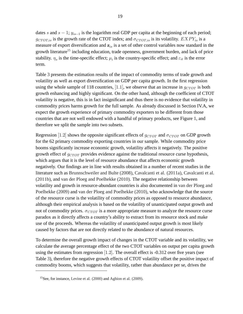dates s and  $s - 1$ ;  $y_{is-1}$  is the logarithm real GDP per capita at the beginning of each period;  $g_{CTOT.is}$  is the growth rate of the CTOT index; and  $\sigma_{CTOT.is}$  is its volatility.  $EXPY_{is}$  is a measure of export diversification and  $z_{is}$  is a set of other control variables now standard in the growth literature<sup>[15](#page-19-0)</sup> including education, trade openness, government burden, and lack of price stability.  $\eta_s$  is the time-specific effect;  $\mu_i$  is the country-specific effect; and  $\varepsilon_{it}$  is the error term.

Table [3](#page-39-0) presents the estimation results of the impact of commodity terms of trade growth and volatility as well as export diversification on GDP per capita growth. In the first regression using the whole sample of 118 countries, [1.1], we observe that an increase in  $g_{CTOT}$  is both growth enhancing and highly significant. On the other hand, although the coefficient of CTOT volatility is negative, this is in fact insignificant and thus there is no evidence that volatility in commodity prices harms growth for the full sample. As already discussed in Section IV.A, we expect the growth experience of primary commodity exporters to be different from those countries that are not well endowed with a handful of primary products, see Figure [1,](#page-38-0) and therefore we split the sample into two subsets.

Regression [1.2] shows the opposite significant effects of  $g_{CTOT}$  and  $\sigma_{CTOT}$  on GDP growth for the 62 primary commodity exporting countries in our sample. While commodity price booms significantly increase economic growth, volatility affects it negatively. The positive growth effect of  $g_{CTOT}$  provides evidence against the traditional resource curse hypothesis, which argues that it is the level of resource abundance that affects economic growth negatively. Our findings are in line with results obtained in a number of recent studies in the literature such as [Brunnschweiler and Bulte \(2008\),](#page-32-3) [Cavalcanti et al. \(2011a\),](#page-32-0) [Cavalcanti et al.](#page-32-8) [\(2011b\),](#page-32-8) and [van der Ploeg and Poelhekke \(2010\).](#page-35-1) The negative relationship between volatility and growth in resource-abundant countries is also documented in [van der Ploeg and](#page-35-0) [Poelhekke \(2009\)](#page-35-0) and [van der Ploeg and Poelhekke \(2010\),](#page-35-1) who acknowledge that the source of the resource curse is the volatility of commodity prices as opposed to resource abundance, although their empirical analysis is based on the volatility of unanticipated output growth and not of commodity prices.  $\sigma_{CTOT}$  is a more appropriate measure to analyze the resource curse paradox as it directly affects a country's ability to extract from its resource stock and make use of the proceeds. Whereas the volatility of unanticipated output growth is most likely caused by factors that are not directly related to the abundance of natural resources.

To determine the overall growth impact of changes in the CTOT variable and its volatility, we calculate the average percentage effect of the two CTOT variables on output per capita growth using the estimates from regression  $[1.2]$ . The overall effect is  $-0.312$  over five years (see Table [3\)](#page-39-0), therefore the negative growth effects of CTOT volatility offset the positive impact of commodity booms, which suggests that volatility, rather than abundance per se, drives the

<span id="page-19-0"></span><sup>15</sup>See, for instance, [Levine et al. \(2000\)](#page-33-3) and [Aghion et al. \(2009\).](#page-31-0)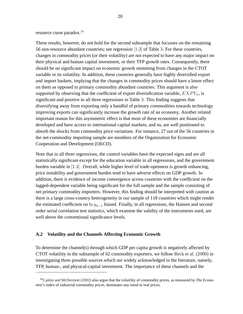#### resource curse paradox.<sup>[16](#page-20-0)</sup>

These results, however, do not hold for the second subsample that focusses on the remaining 56 non-resource abundant countries; see regression [1:3] of Table [3.](#page-39-0) For these countries, changes in commodity prices (or their volatility) are not expected to have any major impact on their physical and human capital investment, or their TFP growth rates. Consequently, there should be no significant impact on economic growth stemming from changes in the CTOT variable or its volatility. In addition, these countries generally have highly diversified export and import baskets, implying that the changes in commodity prices should have a lower effect on them as opposed to primary commodity abundant countries. This argument is also supported by observing that the coefficient of export diversification variable,  $EXPY_{it}$ , is significant and positive in all three regressions in Table [3.](#page-39-0) This finding suggests that diversifying away from exporting only a handful of primary commodities towards technology improving exports can significantly increase the growth rate of an economy. Another related important reason for this asymmetric effect is that most of these economies are financially developed and have access to international capital markets, and so, are well positioned to absorb the shocks from commodity price variations. For instance, 27 out of the 56 countries in the net-commodity importing sample are members of the Organization for Economic Cooperation and Development (OECD).

Note that in all three regressions, the control variables have the expected signs and are all statistically significant except for the education variable in all regressions, and the government burden variable in [1:3] : Overall, while higher level of trade-openness is growth enhancing, price instability and government burden tend to have adverse effects on GDP growth. In addition, there is evidence of income convergence across countries with the coefficient on the lagged-dependent variable being significant for the full sample and the sample consisting of net primary commodity importers. However, this finding should be interpreted with caution as there is a large cross-country heterogeneity in our sample of 118 countries which might render the estimated coefficient on  $\ln y_{it-1}$  biased. Finally, in all regressions, the Hansen and second order serial correlation test statistics, which examine the validity of the instruments used, are well above the conventional significance levels.

#### **A.2 Volatility and the Channels Affecting Economic Growth**

To determine the channel(s) through which GDP per capita growth is negatively affected by CTOT volatility in the subsample of 62 commodity exporters, we follow [Beck et al. \(2000\)](#page-31-9) in investigating three possible sources which are widely acknowledged in the literature, namely, TFP, human-, and physical-capital investment. The importance of these channels and the

<span id="page-20-0"></span><sup>16</sup>[Cashin and McDermott \(2002\)](#page-32-9) also argue that the volatility of commodity prices, as measured by *The Economist*'s index of industrial commodity prices, dominates any trend in real prices.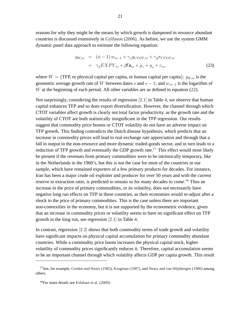reasons for why they might be the means by which growth is dampened in resource abundant countries is discussed extensively in [Gylfason \(2006\).](#page-33-9) As before, we use the system GMM dynamic panel data approach to estimate the following equation:

$$
g_{W, is} = (\phi - 1) w_{is-1} + \gamma_1 g_{CTOT, is} + \gamma_2 \sigma_{CTOT, is}
$$
  
+ 
$$
\gamma_3 EXPY_{is} + \beta' \mathbf{z}_{is} + \mu_i + \eta_s + \varepsilon_{is},
$$
 (23)

where  $W = \{TFP, or physical capital per capita, or human capital per capita\}; q_{Wis}$  is the geometric average growth rate of W between dates s and  $s - 1$ ; and  $w_{is-1}$  is the logarithm of  $W$  at the beginning of each period. All other variables are as defined in equation [\(22\)](#page-18-0).

Not surprisingly, considering the results of regression [2:1] in Table [4,](#page-40-0) we observe that human capital enhances TFP and so does export diversification. However, the channel through which CTOT variables affect growth is clearly not total factor productivity, as the growth rate and the volatility of CTOT are both statistically insignificant in the TFP regression. Our results suggest that commodity price booms or CTOT volatility do not have an adverse impact on TFP growth. This finding contradicts the Dutch disease hypothesis, which predicts that an increase in commodity prices will lead to real exchange rate appreciation and through that a fall in output in the non-resource and more dynamic traded-goods sector, and in turn leads to a reduction of TFP growth and eventually the GDP growth rate.<sup>[17](#page-21-0)</sup> This effect would most likely be present if the revenues from primary commodities were to be intrinsically temporary, like in the Netherlands in the 1960's, but this is not the case for most of the countries in our sample, which have remained exporters of a few primary products for decades. For instance, Iran has been a major crude oil exploiter and producer for over 50 years and with the current reserve to extraction ratio, is predicted to remain so for many decades to come.<sup>[18](#page-21-1)</sup> Thus an increase in the price of primary commodities, or its volatility, does not necessarily have negative long run effects on TFP in these countries, as their economies would re-adjust after a shock to the price of primary commodities. This is the case unless there are important non-convexities in the economy, but it is not supported by the econometric evidence, given that an increase in commodity prices or volatility seems to have no significant effect on TFP growth in the long run, see regression [2:1] in Table [4.](#page-40-0)

In contrast, regression  $[2.2]$  shows that both commodity terms of trade growth and volatility have significant impacts on physical capital accumulation for primary commodity abundant countries. While a commodity price boom increases the physical capital stock, higher volatility of commodity prices significantly reduces it. Therefore, capital accumulation seems to be an important channel through which volatility affects GDP per capita growth. This result

<span id="page-21-0"></span><sup>&</sup>lt;sup>17</sup>See, for example, [Corden and Neary \(1982\),](#page-32-10) [Krugman \(1987\),](#page-33-10) and [Neary and van Wijnbergen \(1986\)](#page-33-11) among others.

<span id="page-21-1"></span><sup>18</sup>For more details see [Esfahani et al. \(2009\).](#page-32-4)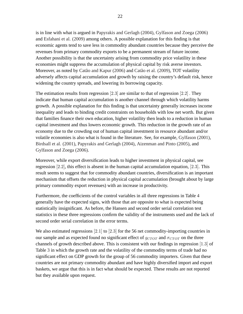is in line with what is argued in [Papyrakis and Gerlagh \(2004\),](#page-34-4) [Gylfason and Zoega \(2006\)](#page-33-2) and [Esfahani et al. \(2009\)](#page-32-4) among others. A possible explanation for this finding is that economic agents tend to save less in commodity abundant countries because they perceive the revenues from primary commodity exports to be a permanent stream of future income. Another possibility is that the uncertainty arising from commodity price volatility in these economies might suppress the accumulation of physical capital by risk averse investors. Moreover, as noted by [Catão and Kapur \(2006\)](#page-32-11) and [Catão et al. \(2009\),](#page-32-12) TOT volatility adversely affects capital accumulation and growth by raising the country's default risk, hence widening the country spreads, and lowering its borrowing capacity.

The estimation results from regression [2.3] are similar to that of regression [2.2]. They indicate that human capital accumulation is another channel through which volatility harms growth. A possible explanation for this finding is that uncertainty generally increases income inequality and leads to binding credit constraints on households with low net worth. But given that families finance their own education, higher volatility then leads to a reduction in human capital investment and thus lowers economic growth. This reduction in the growth rate of an economy due to the crowding out of human capital investment in resource abundant and/or volatile economies is also what is found in the literature. See, for example, [Gylfason \(2001\),](#page-32-5) [Birdsall et al. \(2001\),](#page-31-10) [Papyrakis and Gerlagh \(2004\),](#page-34-4) [Aizenman and Pinto \(2005\),](#page-31-11) and [Gylfason and Zoega \(2006\).](#page-33-2)

Moreover, while export diversification leads to higher investment in physical capital, see regression [2:2], this effect is absent in the human capital accumulation equation, [2:3]. This result seems to suggest that for commodity abundant countries, diversification is an important mechanism that offsets the reduction in physical capital accumulation (brought about by large primary commodity export revenues) with an increase in productivity.

Furthermore, the coefficients of the control variables in all three regressions in Table [4](#page-40-0) generally have the expected signs, with those that are opposite to what is expected being statistically insignificant. As before, the Hansen and second order serial correlation test statistics in these three regressions confirm the validity of the instruments used and the lack of second order serial correlation in the error terms.

We also estimated regressions [2.1] to [2.3] for the 56 net commodity-importing countries in our sample and as expected found no significant effect of  $g_{CTOT}$  and  $\sigma_{CTOT}$  on the three channels of growth described above. This is consistent with our findings in regression [1:3] of Table [3](#page-39-0) in which the growth rate and the volatility of the commodity terms of trade had no significant effect on GDP growth for the group of 56 commodity importers. Given that these countries are not primary commodity abundant and have highly diversified import and export baskets, we argue that this is in fact what should be expected. These results are not reported but they available upon request.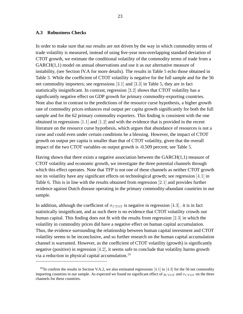#### **A.3 Robustness Checks**

In order to make sure that our results are not driven by the way in which commodity terms of trade volatility is measured, instead of using five-year non-overlapping standard deviation of CTOT growth, we estimate the conditional volatility of the commodity terms of trade from a  $GARCH(1,1)$  model on annual observations and use it as our alternative measure of instability, (see Section IV.A for more details). The results in Table [5](#page-41-0) echo those obtained in Table [3.](#page-39-0) While the coefficient of CTOT volatility is negative for the full sample and for the 56 net commodity importers; see regressions [3:1] and [3:3] in Table [5,](#page-41-0) they are in fact statistically insignificant. In contrast, regression [3:2] shows that CTOT volatility has a significantly negative effect on GDP growth for primary commodity-exporting countries. Note also that in contrast to the predictions of the resource curse hypothesis, a higher growth rate of commodity prices enhances real output per capita growth significantly for both the full sample and for the 62 primary commodity exporters. This finding is consistent with the one obtained in regressions  $[1.1]$  and  $[1.2]$  and with the evidence that is provided in the recent literature on the resource curse hypothesis, which argues that abundance of resources is not a curse and could even under certain conditions be a blessing. However, the impact of CTOT growth on output per capita is smaller than that of CTOT volatility, given that the overall impact of the two CTOT variables on output growth is -0.509 percent; see Table [5.](#page-41-0)

Having shown that there exists a negative association between the  $GARCH(1,1)$  measure of CTOT volatility and economic growth, we investigate the three potential channels through which this effect operates. Note that TFP is not one of these channels as neither CTOT growth nor its volatility have any significant effects on technological growth; see regression [4:1] in Table [6.](#page-42-0) This is in line with the results obtained from regression [2:1] and provides further evidence against Dutch disease operating in the primary commodity-abundant countries in our sample.

In addition, although the coefficient of  $\sigma_{CTOT}$  is negative in regression [4.3], it is in fact statistically insignificant, and as such there is no evidence that CTOT volatility crowds out human capital. This finding does not fit with the results from regression [2:3] in which the volatility in commodity prices did have a negative effect on human capital accumulation. Thus, the evidence surrounding the relationship between human capital investment and CTOT volatility seems to be inconclusive, and so further research on the human capital accumulation channel is warranted. However, as the coefficient of CTOT volatility (growth) is significantly negative (positive) in regression [4:2], it seems safe to conclude that volatility harms growth via a reduction in physical capital accumulation.[19](#page-23-0)

<span id="page-23-0"></span><sup>&</sup>lt;sup>19</sup>To confirm the results in Section V.A.2, we also estimated regressions [4.1] to [4.3] for the 56 net commodity importing countries in our sample. As expected we found no significant effect of  $g_{CTOT}$  and  $\sigma_{CTOT}$  on the three channels for these countries.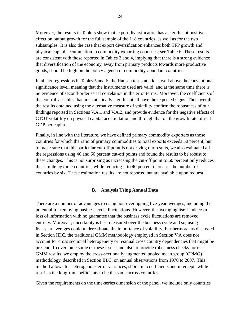Moreover, the results in Table [5](#page-41-0) show that export diversification has a significant positive effect on output growth for the full sample of the 118 countries, as well as for the two subsamples. It is also the case that export diversification enhances both TFP growth and physical capital accumulation in commodity exporting countries; see Table [6.](#page-42-0) These results are consistent with those reported in Tables [3](#page-39-0) and [4,](#page-40-0) implying that there is a strong evidence that diversification of the economy, away from primary products towards more productive goods, should be high on the policy agenda of commodity-abundant countries.

In all six regressions in Tables [5](#page-41-0) and [6,](#page-42-0) the Hansen test statistic is well above the conventional significance level, meaning that the instruments used are valid, and at the same time there is no evidence of second-order serial correlation in the error terms. Moreover, the coefficients of the control variables that are statistically significant all have the expected signs. Thus overall the results obtained using the alternative measure of volatility confirm the robustness of our findings reported in Sections V.A.1 and V.A.2, and provide evidence for the negative effects of CTOT volatility on physical capital accumulation and through that on the growth rate of real GDP per capita.

Finally, in line with the literature, we have defined primary commodity exporters as those countries for which the ratio of primary commodities to total exports exceeds 50 percent, but to make sure that this particular cut-off point is not driving our results, we also estimated all the regressions using 40 and 60 percent cut-off points and found the results to be robust to these changes. This is not surprising as increasing the cut-off point to 60 percent only reduces the sample by three countries, while reducing it to 40 percent increases the number of countries by six. These estimation results are not reported but are available upon request.

#### **B. Analysis Using Annual Data**

There are a number of advantages to using non-overlapping five-year averages, including the potential for removing business cycle fluctuations. However, the averaging itself induces a loss of information with no guarantee that the business cycle fluctuations are removed entirely. Moreover, uncertainty is best measured over the business cycle and so, using five-year averages could underestimate the importance of volatility. Furthermore, as discussed in Section III.C, the traditional GMM methodology employed in Section V.A does not account for cross sectional heterogeneity or residual cross country dependencies that might be present. To overcome some of these issues and also to provide robustness checks for our GMM results, we employ the cross-sectionally augmented pooled mean group (CPMG) methodology, described in Section III.C, on annual observations from 1970 to 2007. This method allows for heterogenous error variances, short-run coefficients and intercepts while it restricts the long-run coefficients to be the same across countries.

Given the requirements on the time-series dimension of the panel, we include only countries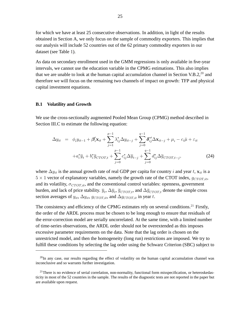for which we have at least 25 consecutive observations. In addition, in light of the results obtained in Section A, we only focus on the sample of commodity exporters. This implies that our analysis will include 52 countries out of the 62 primary commodity exporters in our dataset (see Table [1\)](#page-36-0).

As data on secondary enrollment used in the GMM regressions is only available in five-year intervals, we cannot use the education variable in the CPMG estimations. This also implies that we are unable to look at the human capital accumulation channel in Section V.B.2,  $^{20}$  $^{20}$  $^{20}$  and therefore we will focus on the remaining two channels of impact on growth: TFP and physical capital investment equations.

#### **B.1 Volatility and Growth**

We use the cross-sectionally augmented Pooled Mean Group (CPMG) method described in Section III.C to estimate the following equation:

<span id="page-25-2"></span>
$$
\Delta y_{it} = \phi_i y_{it-1} + \beta'_i \mathbf{x}_{it} + \sum_{j=1}^{p-1} \lambda_{ij}^* \Delta y_{it-j} + \sum_{j=0}^{q-1} \delta_{ij}^{*'} \Delta \mathbf{x}_{it-j} + \mu_i - c_i \bar{\mu} + \varepsilon_{it}
$$
  
+ $a_i^* \bar{y}_t + b_i^* \bar{g}_{CTOT,t} + \sum_{j=0}^{p-1} c_{ij}^* \Delta \bar{y}_{t-j} + \sum_{j=0}^{q-1} d_{ij}^* \Delta \bar{g}_{CTOT,t-j},$  (24)

where  $\Delta y_{it}$  is the annual growth rate of real GDP per capita for country i and year t,  $\mathbf{x}_{it}$  is a  $5 \times 1$  vector of explanatory variables, namely the growth rate of the CTOT index,  $g_{CTOT, it}$ , and its volatility,  $\sigma_{CTOT, it}$ , and the conventional control variables: openness, government burden, and lack of price stability.  $\overline{y}_t$ ,  $\Delta \overline{y}_t$ ,  $\overline{g}_{CTOT,t}$ , and  $\Delta \overline{g}_{CTOT,t}$  denote the simple cross section averages of  $y_{it}$ ,  $\Delta y_{it}$ ,  $g_{CTOT,it}$ , and  $\Delta g_{CTOT,it}$  in year t.

The consistency and efficiency of the CPMG estimates rely on several conditions.<sup>[21](#page-25-1)</sup> Firstly, the order of the ARDL process must be chosen to be long enough to ensure that residuals of the error-correction model are serially uncorrelated. At the same time, with a limited number of time-series observations, the ARDL order should not be overextended as this imposes excessive parameter requirements on the data. Note that the lag order is chosen on the unrestricted model, and then the homogeneity (long run) restrictions are imposed. We try to fulfill these conditions by selecting the lag order using the Schwarz Criterion (SBC) subject to

<span id="page-25-0"></span> $^{20}$ In any case, our results regarding the effect of volatility on the human capital accumulation channel was inconclusive and so warrants further investigation.

<span id="page-25-1"></span> $21$ There is no evidence of serial correlation, non-normality, functional form misspecification, or heteroskedasticity in most of the 52 countries in the sample. The results of the diagnostic tests are not reported in the paper but are available upon request.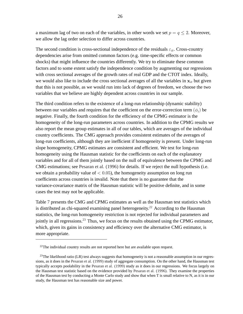a maximum lag of two on each of the variables, in other words we set  $p = q \le 2$ . Moreover, we allow the lag order selection to differ across countries.

The second condition is cross-sectional independence of the residuals  $\varepsilon_{it}$ . Cross-country dependencies arise from omitted common factors (e.g. time-specific effects or common shocks) that might influence the countries differently. We try to eliminate these common factors and to some extent satisfy the independence condition by augmenting our regressions with cross sectional averages of the growth rates of real GDP and the CTOT index. Ideally, we would also like to include the cross sectional averages of all the variables in  $x_{it}$  but given that this is not possible, as we would run into lack of degrees of freedom, we choose the two variables that we believe are highly dependent across countries in our sample.

The third condition refers to the existence of a long-run relationship (dynamic stability) between our variables and requires that the coefficient on the error-correction term  $(\phi_i)$  be negative. Finally, the fourth condition for the efficiency of the CPMG estimator is the homogeneity of the long-run parameters across countries. In addition to the CPMG results we also report the mean group estimates in all of our tables, which are averages of the individual country coefficients. The CMG approach provides consistent estimates of the averages of long-run coefficients, although they are inefficient if homogeneity is present. Under long-run slope homogeneity, CPMG estimates are consistent and efficient. We test for long-run homogeneity using the Hausman statistic for the coefficients on each of the explanatory variables and for all of them jointly based on the null of equivalence between the CPMG and CMG estimations; see [Pesaran et al. \(1996\)](#page-34-13) for details. If we reject the null hypothesis (i.e. we obtain a probability value of  $< 0.05$ ), the homogeneity assumption on long run coefficients across countries is invalid. Note that there is no guarantee that the variance-covariance matrix of the Hausman statistic will be positive definite, and in some cases the test may not be applicable.

Table [7](#page-43-0) presents the CMG and CPMG estimates as well as the Hausman test statistics which is distributed as chi-squared examining panel heterogeneity.<sup>[22](#page-26-0)</sup> According to the Hausman statistics, the long-run homogeneity restriction is not rejected for individual parameters and jointly in all regressions.<sup>[23](#page-26-1)</sup> Thus, we focus on the results obtained using the CPMG estimator, which, given its gains in consistency and efficiency over the alternative CMG estimator, is more appropriate.

<span id="page-26-0"></span> $22$ The individual country results are not reported here but are available upon request.

<span id="page-26-1"></span> $^{23}$ The likelihood ratio (LR) test always suggests that homogeneity is not a reasonable assumption in our regressions, as it does in the [Pesaran et al. \(1999\)](#page-34-6) study of aggregate consumption. On the other hand, the Hausman test typically accepts poolability in the [Pesaran et al. \(1999\)](#page-34-6) study as it does in our regressions. We focus largely on the Hausman test statistic based on the evidence provided by [Pesaran et al. \(1996\).](#page-34-13) They examine the properties of the Hausman test by conducting a Monte Carlo study and show that when T is small relative to N, as it is in our study, the Hausman test has reasonable size and power.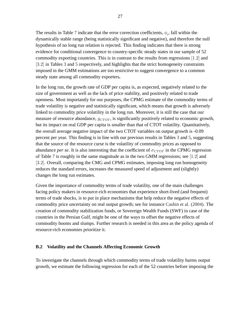The results in Table [7](#page-43-0) indicate that the error correction coefficients,  $\phi_i$ , fall within the dynamically stable range (being statistically significant and negative), and therefore the null hypothesis of no long run relation is rejected. This finding indicates that there is strong evidence for conditional convergence to country-specific steady states in our sample of 52 commodity exporting countries. This is in contrast to the results from regressions [1:2] and [3:2] in Tables [3](#page-39-0) and [5](#page-41-0) respectively, and highlights that the strict homogeneity constraints imposed in the GMM estimations are too restrictive to suggest convergence to a common steady state among all commodity exporters**.**

In the long run, the growth rate of GDP per capita is, as expected, negatively related to the size of government as well as the lack of price stability, and positively related to trade openness. Most importantly for our purposes, the CPMG estimate of the commodity terms of trade volatility is negative and statistically significant, which means that growth is adversely linked to commodity price volatility in the long run. Moreover, it is still the case that our measure of resource abundance,  $g_{CTOT}$ , is significantly positively related to economic growth, but its impact on real GDP per capita is smaller than that of CTOT volatility. Quantitatively, the overall average negative impact of the two CTOT variables on output growth is -0.09 percent per year. This finding is in line with our previous results in Tables [3](#page-39-0) and [5,](#page-41-0) suggesting that the source of the resource curse is the volatility of commodity prices as opposed to abundance *per se*. It is also interesting that the coefficient of  $\sigma_{CTOT}$  in the CPMG regression of Table [7](#page-43-0) is roughly in the same magnitude as in the two GMM regressions; see [1:2] and [3:2]. Overall, comparing the CMG and CPMG estimates, imposing long run homogeneity reduces the standard errors, increases the measured speed of adjustment and (slightly) changes the long run estimates.

Given the importance of commodity terms of trade volatility, one of the main challenges facing policy makers in resource-rich economies that experience short-lived (and frequent) terms of trade shocks, is to put in place mechanisms that help reduce the negative effects of commodity price uncertainty on real output growth; see for instance [Cashin et al. \(2004\).](#page-32-13) The creation of commodity stabilization funds, or Sovereign Wealth Funds (SWF) in case of the countries in the Persian Gulf, might be one of the ways to offset the negative effects of commodity booms and slumps. Further research is needed in this area as the policy agenda of resource-rich economies prioritize it.

#### **B.2 Volatility and the Channels Affecting Economic Growth**

To investigate the channels through which commodity terms of trade volatility harms output growth, we estimate the following regression for each of the 52 countries before imposing the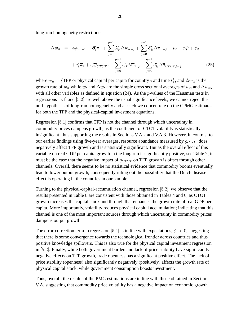long-run homogeneity restrictions:

$$
\Delta w_{it} = \phi_i w_{it-1} + \beta'_i \mathbf{x}_{it} + \sum_{j=1}^{p-1} \lambda_{ij}^* \Delta w_{it-j} + \sum_{j=0}^{q-1} \delta_{ij}^{*'} \Delta \mathbf{x}_{it-j} + \mu_i - c_i \bar{\mu} + \varepsilon_{it}
$$
  
+
$$
a_i^* \overline{w}_t + b_i^* \overline{g}_{CTOT,t} + \sum_{j=0}^{p-1} c_{ij}^* \Delta \overline{w}_{t-j} + \sum_{j=0}^{q-1} d_{ij}^* \Delta \overline{g}_{CTOT,t-j},
$$
 (25)

where  $w_{it} = \{ \text{TFP or physical capital per capita for country } i \text{ and time } t \};$  and  $\Delta w_{it}$  is the growth rate of  $w_{it}$  while  $\overline{w}_t$  and  $\Delta \overline{w}_t$  are the simple cross sectional averages of  $w_{it}$  and  $\Delta w_{it}$ , with all other variables as defined in equation  $(24)$ . As the *p*-values of the Hausman tests in regressions [5:1] and [5:2] are well above the usual significance levels, we cannot reject the null hypothesis of long-run homogeneity and as such we concentrate on the CPMG estimates for both the TFP and the physical-capital investment equations.

Regression [5:1] confirms that TFP is not the channel through which uncertainty in commodity prices dampens growth, as the coefficient of CTOT volatility is statistically insignificant, thus supporting the results in Sections V.A.2 and V.A.3. However, in contrast to our earlier findings using five-year averages, resource abundance measured by  $g_{CTOT}$  does negatively affect TFP growth and is statistically significant. But as the overall effect of this variable on real GDP per capita growth in the long run is significantly positive, see Table [7,](#page-43-0) it must be the case that the negative impact of  $g_{CTOT}$  on TFP growth is offset through other channels. Overall, there seems to be no statistical evidence that commodity booms eventually lead to lower output growth, consequently ruling out the possibility that the Dutch disease effect is operating in the countries in our sample.

Turning to the physical-capital-accumulation channel, regression [5:2], we observe that the results presented in Table [8](#page-44-0) are consistent with those obtained in Tables [4](#page-40-0) and [6,](#page-42-0) as CTOT growth increases the capital stock and through that enhances the growth rate of real GDP per capita. More importantly, volatility reduces physical capital accumulation; indicating that this channel is one of the most important sources through which uncertainty in commodity prices dampens output growth.

The error-correction term in regression [5.1] is in line with expectations,  $\phi_i < 0$ , suggesting that there is some convergence towards the technological frontier across countries and thus positive knowledge spillovers. This is also true for the physical capital investment regression in [5:2]. Finally, while both government burden and lack of price stability have significantly negative effects on TFP growth, trade openness has a significant positive effect. The lack of price stability (openness) also significantly negatively (positively) affects the growth rate of physical capital stock, while government consumption boosts investment.

Thus, overall, the results of the PMG estimations are in line with those obtained in Section V.A, suggesting that commodity price volatility has a negative impact on economic growth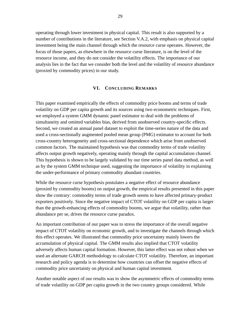operating through lower investment in physical capital. This result is also supported by a number of contributions in the literature, see Section V.A.2, with emphasis on physical capital investment being the main channel through which the resource curse operates. However, the focus of those papers, as elsewhere in the resource curse literature, is on the level of the resource income, and they do not consider the volatility effects. The importance of our analysis lies in the fact that we consider both the level and the volatility of resource abundance (proxied by commodity prices) in our study.

#### **VI. CONCLUDING REMARKS**

This paper examined empirically the effects of commodity price booms and terms of trade volatility on GDP per capita growth and its sources using two econometric techniques. First, we employed a system GMM dynamic panel estimator to deal with the problems of simultaneity and omitted variables bias, derived from unobserved country-specific effects. Second, we created an annual panel dataset to exploit the time-series nature of the data and used a cross-sectionally augmented pooled mean group (PMG) estimator to account for both cross-country heterogeneity and cross-sectional dependence which arise from unobserved common factors. The maintained hypothesis was that commodity terms of trade volatility affects output growth negatively, operating mainly through the capital accumulation channel. This hypothesis is shown to be largely validated by our time series panel data method, as well as by the system GMM technique used, suggesting the importance of volatility in explaining the under-performance of primary commodity abundant countries.

While the resource curse hypothesis postulates a negative effect of resource abundance (proxied by commodity booms) on output growth, the empirical results presented in this paper show the contrary: commodity terms of trade growth seems to have affected primary-product exporters positively. Since the negative impact of CTOT volatility on GDP per capita is larger than the growth-enhancing effects of commodity booms, we argue that volatility, rather than abundance per se, drives the resource curse paradox.

An important contribution of our paper was to stress the importance of the overall negative impact of CTOT volatility on economic growth, and to investigate the channels through which this effect operates. We illustrated that commodity price uncertainty mainly lowers the accumulation of physical capital. The GMM results also implied that CTOT volatility adversely affects human capital formation. However, this latter effect was not robust when we used an alternate GARCH methodology to calculate CTOT volatility. Therefore, an important research and policy agenda is to determine how countries can offset the negative effects of commodity price uncertainty on physical and human capital investment.

Another notable aspect of our results was to show the asymmetric effects of commodity terms of trade volatility on GDP per capita growth in the two country groups considered. While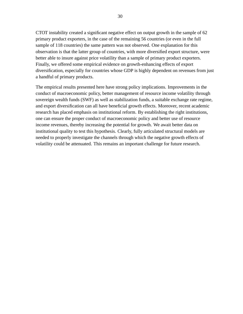CTOT instability created a significant negative effect on output growth in the sample of 62 primary product exporters, in the case of the remaining 56 countries (or even in the full sample of 118 countries) the same pattern was not observed. One explanation for this observation is that the latter group of countries, with more diversified export structure, were better able to insure against price volatility than a sample of primary product exporters. Finally, we offered some empirical evidence on growth-enhancing effects of export diversification, especially for countries whose GDP is highly dependent on revenues from just a handful of primary products.

The empirical results presented here have strong policy implications. Improvements in the conduct of macroeconomic policy, better management of resource income volatility through sovereign wealth funds (SWF) as well as stabilization funds, a suitable exchange rate regime, and export diversification can all have beneficial growth effects. Moreover, recent academic research has placed emphasis on institutional reform. By establishing the right institutions, one can ensure the proper conduct of macroeconomic policy and better use of resource income revenues, thereby increasing the potential for growth. We await better data on institutional quality to test this hypothesis. Clearly, fully articulated structural models are needed to properly investigate the channels through which the negative growth effects of volatility could be attenuated. This remains an important challenge for future research.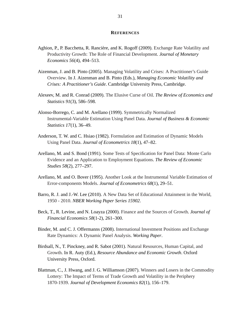#### **REFERENCES**

- <span id="page-31-0"></span>Aghion, P., P. Bacchetta, R. Rancière, and K. Rogoff (2009). [Exchange Rate Volatility and](http://dx.doi.org/10.1016/j.jmoneco.2009.03.015) [Productivity Growth: The Role of Financial Development.](http://dx.doi.org/10.1016/j.jmoneco.2009.03.015) *Journal of Monetary Economics 56*(4), 494–513.
- <span id="page-31-11"></span>Aizenman, J. and B. Pinto (2005). [Managing Volatility and Crises: A Practitioner's Guide](http://www.nber.org/papers/w10602) [Overview.](http://www.nber.org/papers/w10602) In J. Aizenman and B. Pinto (Eds.), *Managing Economic Volatility and Crises: A Practitioner's Guide*. Cambridge University Press, Cambridge.
- <span id="page-31-2"></span>Alexeev, M. and R. Conrad (2009). [The Elusive Curse of Oil.](http://dx.doi.org/10.1162/rest.91.3.586) *The Review of Economics and Statistics 91*(3), 586–598.
- <span id="page-31-6"></span>Alonso-Borrego, C. and M. Arellano (1999). [Symmetrically Normalized](http://www.jstor.org/stable/1392237) [Instrumental-Variable Estimation Using Panel Data.](http://www.jstor.org/stable/1392237) *Journal of Business & Economic Statistics 17*(1), 36–49.
- <span id="page-31-3"></span>Anderson, T. W. and C. Hsiao (1982). [Formulation and Estimation of Dynamic Models](http://dx.doi.org/10.1016/0304-4076(82)90095-1) [Using Panel Data.](http://dx.doi.org/10.1016/0304-4076(82)90095-1) *Journal of Econometrics 18*(1), 47–82.
- <span id="page-31-4"></span>Arellano, M. and S. Bond (1991). [Some Tests of Specification for Panel Data: Monte Carlo](http://www.jstor.org/stable/2297968) [Evidence and an Application to Employment Equations.](http://www.jstor.org/stable/2297968) *The Review of Economic Studies 58*(2), 277–297.
- <span id="page-31-5"></span>Arellano, M. and O. Bover (1995). [Another Look at the Instrumental Variable Estimation of](http://dx.doi.org/10.1016/0304-4076(94)01642-D) [Error-components Models.](http://dx.doi.org/10.1016/0304-4076(94)01642-D) *Journal of Econometrics 68*(1), 29–51.
- <span id="page-31-8"></span>Barro, R. J. and J.-W. Lee (2010). [A New Data Set of Educational Attainment in the World,](http://www.nber.org/papers/w15902) [1950 - 2010.](http://www.nber.org/papers/w15902) *NBER Working Paper Series 15902*.
- <span id="page-31-9"></span>Beck, T., R. Levine, and N. Loayza (2000). [Finance and the Sources of Growth.](http://dx.doi.org/10.1016/S0304-405X(00)00072-6) *Journal of Financial Economics 58*(1-2), 261–300.
- <span id="page-31-7"></span>Binder, M. and C. J. Offermanns (2008). [International Investment Positions and Exchange](http://www.wiwi.uni-frankfurt.de/~offerman/Binder_Offermanns_IIP_and_Exchange_Rates.pdf) [Rate Dynamics: A Dynamic Panel Analysis.](http://www.wiwi.uni-frankfurt.de/~offerman/Binder_Offermanns_IIP_and_Exchange_Rates.pdf) *Working Paper*.
- <span id="page-31-10"></span>Birdsall, N., T. Pinckney, and R. Sabot (2001). [Natural Resources, Human Capital, and](#page--1-0) [Growth.](#page--1-0) In R. Auty (Ed.), *Resource Abundance and Economic Growth*. Oxford University Press, Oxford.
- <span id="page-31-1"></span>Blattman, C., J. Hwang, and J. G. Williamson (2007). [Winners and Losers in the Commodity](http://dx.doi.org/10.1016/j.jdeveco.2005.09.003) [Lottery: The Impact of Terms of Trade Growth and Volatility in the Periphery](http://dx.doi.org/10.1016/j.jdeveco.2005.09.003) [1870-1939.](http://dx.doi.org/10.1016/j.jdeveco.2005.09.003) *Journal of Development Economics 82*(1), 156–179.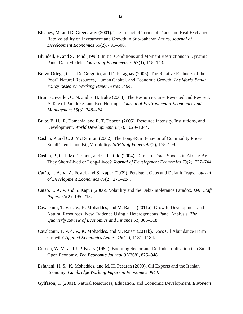- <span id="page-32-1"></span>Bleaney, M. and D. Greenaway (2001). [The Impact of Terms of Trade and Real Exchange](http://dx.doi.org/10.1016/S0304-3878(01)00147-X) [Rate Volatility on Investment and Growth in Sub-Saharan Africa.](http://dx.doi.org/10.1016/S0304-3878(01)00147-X) *Journal of Development Economics 65*(2), 491–500.
- <span id="page-32-7"></span>Blundell, R. and S. Bond (1998). [Initial Conditions and Moment Restrictions in Dynamic](http://dx.doi.org/10.1016/S0304-4076(98)00009-8) [Panel Data Models.](http://dx.doi.org/10.1016/S0304-4076(98)00009-8) *Journal of Econometrics 87*(1), 115–143.
- <span id="page-32-6"></span>Bravo-Ortega, C., J. De Gregorio, and D. Paraguay (2005). [The Relative Richness of the](http://www-wds.worldbank.org/servlet/WDSContentServer/WDSP/IB/2005/02/16/000112742_20050216123529/Rendered/PDF/wps3484.pdf) [Poor? Natural Resources, Human Capital, and Economic Growth.](http://www-wds.worldbank.org/servlet/WDSContentServer/WDSP/IB/2005/02/16/000112742_20050216123529/Rendered/PDF/wps3484.pdf) *The World Bank: Policy Research Working Paper Series 3484*.
- <span id="page-32-3"></span>Brunnschweiler, C. N. and E. H. Bulte (2008). [The Resource Curse Revisited and Revised:](http://dx.doi.org/10.1016/j.jeem.2007.08.004) [A Tale of Paradoxes and Red Herrings.](http://dx.doi.org/10.1016/j.jeem.2007.08.004) *Journal of Environmental Economics and Management 55*(3), 248–264.
- <span id="page-32-2"></span>Bulte, E. H., R. Damania, and R. T. Deacon (2005). [Resource Intensity, Institutions, and](http://dx.doi.org/10.1016/j.worlddev.2005.04.004) [Development.](http://dx.doi.org/10.1016/j.worlddev.2005.04.004) *World Development 33*(7), 1029–1044.
- <span id="page-32-9"></span>Cashin, P. and C. J. McDermott (2002). [The Long-Run Behavior of Commodity Prices:](http://www.imf.org/External/Pubs/FT/staffp/2002/02/pdf/cashin.pdf) [Small Trends and Big Variability.](http://www.imf.org/External/Pubs/FT/staffp/2002/02/pdf/cashin.pdf) *IMF Staff Papers 49*(2), 175–199.
- <span id="page-32-13"></span>Cashin, P., C. J. McDermott, and C. Pattillo (2004). [Terms of Trade Shocks in Africa: Are](http://dx.doi.org/10.1016/j.jdeveco.2003.04.002) [They Short-Lived or Long-Lived?](http://dx.doi.org/10.1016/j.jdeveco.2003.04.002) *Journal of Development Economics 73*(2), 727–744.
- <span id="page-32-12"></span>Catão, L. A. V., A. Fostel, and S. Kapur (2009). [Persistent Gaps and Default Traps.](http://dx.doi.org/10.1016/j.jdeveco.2008.06.013) *Journal of Development Economics 89*(2), 271–284.
- <span id="page-32-11"></span>Catão, L. A. V. and S. Kapur (2006). [Volatility and the Debt-Intolerance Paradox.](http://www.imf.org/External/Pubs/FT/staffp/2006/02/pdf/catao.pdf) *IMF Staff Papers 53*(2), 195–218.
- <span id="page-32-0"></span>Cavalcanti, T. V. d. V., K. Mohaddes, and M. Raissi (2011a). [Growth, Development and](http://dx.doi.org/10.1016/j.qref.2011.07.007) [Natural Resources: New Evidence Using a Heterogeneous Panel Analysis.](http://dx.doi.org/10.1016/j.qref.2011.07.007) *The Quarterly Review of Economics and Finance 51*, 305–318.
- <span id="page-32-8"></span>Cavalcanti, T. V. d. V., K. Mohaddes, and M. Raissi (2011b). [Does Oil Abundance Harm](http://dx.doi.org/10.1080/13504851.2010.528356) [Growth?](http://dx.doi.org/10.1080/13504851.2010.528356) *Applied Economics Letters 18*(12), 1181–1184.
- <span id="page-32-10"></span>Corden, W. M. and J. P. Neary (1982). [Booming Sector and De-Industrialisation in a Small](http://www.jstor.org/stable/2232670) [Open Economy.](http://www.jstor.org/stable/2232670) *The Economic Journal 92*(368), 825–848.
- <span id="page-32-4"></span>Esfahani, H. S., K. Mohaddes, and M. H. Pesaran (2009). [Oil Exports and the Iranian](http://www.econ.cam.ac.uk/postgrad/km418/Iran_VARX.pdf) [Economy.](http://www.econ.cam.ac.uk/postgrad/km418/Iran_VARX.pdf) *Cambridge Working Papers in Economics 0944*.

<span id="page-32-5"></span>Gylfason, T. (2001). [Natural Resources, Education, and Economic Development.](http://dx.doi.org/10.1016/S0014-2921(01)00127-1) *European*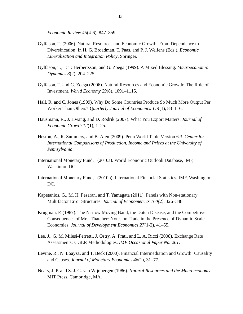*Economic Review 45*(4-6), 847–859.

- <span id="page-33-9"></span>Gylfason, T. (2006). [Natural Resources and Economic Growth: From Dependence to](http://dx.doi.org/10.1007/3-540-31183-1_10) [Diversification.](http://dx.doi.org/10.1007/3-540-31183-1_10) In H. G. Broadman, T. Paas, and P. J. Welfens (Eds.), *Economic Liberalization and Integration Policy*. Springer.
- <span id="page-33-1"></span>Gylfason, T., T. T. Herbertsson, and G. Zoega (1999). [A Mixed Blessing.](http://dx.doi.org/10.1017/S1365100599011049) *Macroeconomic Dynamics 3*(2), 204–225.
- <span id="page-33-2"></span>Gylfason, T. and G. Zoega (2006). [Natural Resources and Economic Growth: The Role of](http://dx.doi.org/10.1111/j.1467-9701.2006.00807.x) [Investment.](http://dx.doi.org/10.1111/j.1467-9701.2006.00807.x) *World Economy 29*(8), 1091–1115.
- <span id="page-33-7"></span>Hall, R. and C. Jones (1999). [Why Do Some Countries Produce So Much More Output Per](http://www.jstor.org/stable/2586948) [Worker Than Others?](http://www.jstor.org/stable/2586948) *Quarterly Journal of Economics 114*(1), 83–116.
- <span id="page-33-0"></span>Hausmann, R., J. Hwang, and D. Rodrik (2007). [What You Export Matters.](http://hdl.handle.net/10.1007/s10887-006-9009-4) *Journal of Economic Growth 12*(1), 1–25.
- <span id="page-33-8"></span>Heston, A., R. Summers, and B. Aten (2009). [Penn World Table Version 6.3.](http://pwt.econ.upenn.edu/) *Center for International Comparisons of Production, Income and Prices at the University of Pennsylvania*.
- <span id="page-33-12"></span>International Monetary Fund, (2010a). [World Economic Outlook Database, IMF,](http://www.imf.org/external/ns/cs.aspx?id=28) [Washinton DC.](http://www.imf.org/external/ns/cs.aspx?id=28)
- <span id="page-33-5"></span>International Monetary Fund, (2010b). [International Financial Statistics, IMF, Washington](http://www.imfstatistics.org/imf/logon.aspx) [DC.](http://www.imfstatistics.org/imf/logon.aspx)
- <span id="page-33-4"></span>Kapetanios, G., M. H. Pesaran, and T. Yamagata (2011). [Panels with Non-stationary](http://dx.doi.org/10.1016/j.jeconom.2010.10.001) [Multifactor Error Structures.](http://dx.doi.org/10.1016/j.jeconom.2010.10.001) *Journal of Econometrics 160(2)*, 326–348.
- <span id="page-33-10"></span>Krugman, P. (1987). [The Narrow Moving Band, the Dutch Disease, and the Competitive](http://dx.doi.org/10.1016/0304-3878(87)90005-8) [Consequences of Mrs. Thatcher: Notes on Trade in the Presence of Dynamic Scale](http://dx.doi.org/10.1016/0304-3878(87)90005-8) [Economies.](http://dx.doi.org/10.1016/0304-3878(87)90005-8) *Journal of Development Economics 27*(1-2), 41–55.
- <span id="page-33-6"></span>Lee, J., G. M. Milesi-Ferretti, J. Ostry, A. Prati, and L. A. Ricci (2008). [Exchange Rate](http://www.imf.org/external/pubs/cat/longres.cfm?sk=19582.0) [Assessments: CGER Methodologies.](http://www.imf.org/external/pubs/cat/longres.cfm?sk=19582.0) *IMF Occasional Paper No. 261*.
- <span id="page-33-3"></span>Levine, R., N. Loayza, and T. Beck (2000). [Financial Intermediation and Growth: Causality](http://dx.doi.org/10.1016/S0304-3932(00)00017-9) [and Causes.](http://dx.doi.org/10.1016/S0304-3932(00)00017-9) *Journal of Monetary Economics 46*(1), 31–77.
- <span id="page-33-11"></span>Neary, J. P. and S. J. G. van Wijnbergen (1986). *Natural Resources and the Macroeconomy*. MIT Press, Cambridge, MA.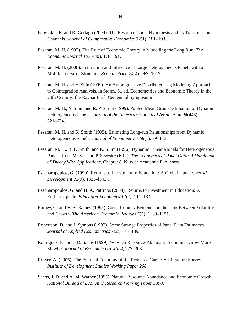- <span id="page-34-4"></span>Papyrakis, E. and R. Gerlagh (2004). [The Resource Curse Hypothesis and its Transmission](http://dx.doi.org/10.1016/j.jce.2003.11.002) [Channels.](http://dx.doi.org/10.1016/j.jce.2003.11.002) *Journal of Comparative Economics 32*(1), 181–193.
- <span id="page-34-8"></span>Pesaran, M. H. (1997). [The Role of Economic Theory in Modelling the Long Run.](http://www.jstor.org/stable/2235280) *The Economic Journal 107*(440), 178–191.
- <span id="page-34-7"></span>Pesaran, M. H. (2006). [Estimation and Inference in Large Heterogeneous Panels with a](http://www.jstor.org/stable/3805914) [Multifactor Error Structure.](http://www.jstor.org/stable/3805914) *Econometrica 74*(4), 967–1012.
- <span id="page-34-9"></span>Pesaran, M. H. and Y. Shin (1999). [An Autoregressive Distributed Lag Modeling Approach](#page--1-0) [to Cointegration Analysis, in Storm, S., ed, Econometrics and Economic Theory in the](#page--1-0) [20th Century: the Ragnar Frish Centennial Symposium.](#page--1-0)
- <span id="page-34-6"></span>Pesaran, M. H., Y. Shin, and R. P. Smith (1999). [Pooled Mean Group Estimation of Dynamic](http://www.jstor.org/stable/2670182) [Heterogeneous Panels.](http://www.jstor.org/stable/2670182) *Journal of the American Statistical Association 94*(446), 621–634.
- <span id="page-34-5"></span>Pesaran, M. H. and R. Smith (1995). [Estimating Long-run Relationships from Dynamic](http://dx.doi.org/10.1016/0304-4076(94)01644-F) [Heterogeneous Panels.](http://dx.doi.org/10.1016/0304-4076(94)01644-F) *Journal of Econometrics 68*(1), 79–113.
- <span id="page-34-13"></span>Pesaran, M. H., R. P. Smith, and K. S. Im (1996). [Dynamic Linear Models for Heterogeneous](#page--1-0) [Panels.](#page--1-0) In L. Matyas and P. Sevestre (Eds.), *The Economics of Panel Data: A Handbook of Theory With Applications*, Chapter 8. Kluwer Academic Publishers.
- <span id="page-34-11"></span>Psacharopoulos, G. (1999). [Returns to Investment in Education: A Global Update.](http://dx.doi.org/10.1016/0305-750X(94)90007-8) *World Development 22*(9), 1325–l343,.
- <span id="page-34-12"></span>Psacharopoulos, G. and H. A. Patrinos (2004). [Returns to Investment in Education: A](http://dx.doi.org/10.1080/0964529042000239140) [Further Update.](http://dx.doi.org/10.1080/0964529042000239140) *Education Economics 12*(2), 111–134.
- <span id="page-34-0"></span>Ramey, G. and V. A. Ramey (1995). [Cross-Country Evidence on the Link Between Volatility](http://www.jstor.org/stable/2950979) [and Growth.](http://www.jstor.org/stable/2950979) *The American Economic Review 85*(5), 1138–1151.
- <span id="page-34-10"></span>Robertson, D. and J. Symons (1992). [Some Strange Properties of Panel Data Estimators.](http://www.jstor.org/stable/2285027) *Journal of Applied Econometrics 7*(2), 175–189.
- <span id="page-34-2"></span>Rodriguez, F. and J. D. Sachs (1999). [Why Do Resource-Abundant Economies Grow More](http://www.springerlink.com/content/k1q14140867h52k6/) [Slowly?](http://www.springerlink.com/content/k1q14140867h52k6/) *Journal of Economic Growth 4*, 277–303.
- <span id="page-34-3"></span>Rosser, A. (2006). [The Political Economy of the Resource Curse: A Literature Survey.](#page--1-0) *Institute of Development Studies Working Paper 268*.
- <span id="page-34-1"></span>Sachs, J. D. and A. M. Warner (1995). [Natural Resource Abundance and Economic Growth.](http://www.nber.org/papers/w5398) *National Bureau of Economic Research Working Paper 5398*.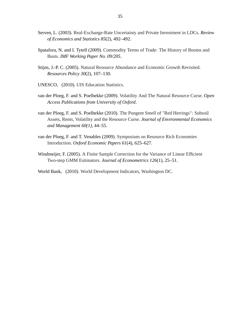- <span id="page-35-5"></span>Serven, L. (2003). [Real-Exchange-Rate Uncertainty and Private Investment in LDCs.](http://dx.doi.org/10.1162/003465303765299954) *Review of Economics and Statistics 85*(2), 492–492.
- <span id="page-35-4"></span>Spatafora, N. and I. Tytell (2009). [Commodity Terms of Trade: The History of Booms and](http://www.imf.org/external/pubs/cat/longres.cfm?sk=23307.0) [Busts.](http://www.imf.org/external/pubs/cat/longres.cfm?sk=23307.0) *IMF Working Paper No. 09/205*.
- <span id="page-35-2"></span>Stijns, J.-P. C. (2005). [Natural Resource Abundance and Economic Growth Revisited.](http://dx.doi.org/10.1016/j.resourpol.2005.05.001) *Resources Policy 30*(2), 107–130.
- <span id="page-35-8"></span>UNESCO, (2010). [UIS Education Statistics.](http://stats.uis.unesco.org/unesco/TableViewer/document.aspx?ReportId=143&IF_Language=eng)
- <span id="page-35-0"></span>van der Ploeg, F. and S. Poelhekke (2009). [Volatility And The Natural Resource Curse.](http://economics.ouls.ox.ac.uk/14657/1/oxcarrerp200803.pdf) *Open Access Publications from University of Oxford*.
- <span id="page-35-1"></span>van der Ploeg, F. and S. Poelhekke (2010). [The Pungent Smell of "Red Herrings": Subsoil](http://dx.doi.org/10.1016/j.jeem.2010.03.003) [Assets, Rents, Volatility and the Resource Curse.](http://dx.doi.org/10.1016/j.jeem.2010.03.003) *Journal of Environmental Economics and Management 60(1)*, 44–55.
- <span id="page-35-3"></span>van der Ploeg, F. and T. Venables (2009). [Symposium on Resource Rich Economies](http://oep.oxfordjournals.org/cgi/content/extract/gpp022v1) [Introduction.](http://oep.oxfordjournals.org/cgi/content/extract/gpp022v1) *Oxford Economic Papers 61*(4), 625–627.
- <span id="page-35-6"></span>Windmeijer, F. (2005). [A Finite Sample Correction for the Variance of Linear Efficient](file:dx.doi.org/10.1016/j.jeconom.2004.02.005) [Two-step GMM Estimators.](file:dx.doi.org/10.1016/j.jeconom.2004.02.005) *Journal of Econometrics 126*(1), 25–51.
- <span id="page-35-7"></span>World Bank, (2010). [World Development Indicators, Washington DC.](http://data.worldbank.org/)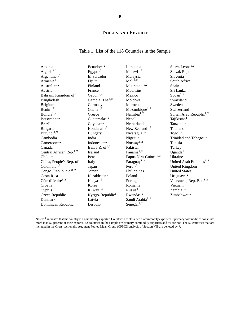#### **TABLES AND FIGURES**

### Table 1. List of the 118 Countries in the Sample

<span id="page-36-0"></span>

| Albania                              | Ecuador <sup>1,2</sup>       | Lithuania                          | Sierra Leone <sup>1,2</sup>         |
|--------------------------------------|------------------------------|------------------------------------|-------------------------------------|
| Algeria $^{1,2}$                     | Egypt <sup>1,2</sup>         | Malawi $^{1,2}$                    | Slovak Republic                     |
| Argentina <sup>1,2</sup>             | El Salvador                  | Malaysia                           | Slovenia                            |
| Armenia <sup>1</sup>                 | Fiji <sup>1,2</sup>          | Mali <sup>1,2</sup>                | South Africa                        |
| Australia <sup>1,2</sup>             | Finland                      | Mauritania $1,2$                   | Spain                               |
| Austria                              | France                       | <b>Mauritius</b>                   | Sri Lanka                           |
| Bahrain, Kingdom of <sup>1</sup>     | $\text{Gabon}^{1,2}$         | Mexico                             | Sudan $^{1,2}$                      |
| Bangladesh                           | Gambia, The <sup>1,2</sup>   | Moldova <sup>1</sup>               | Swaziland                           |
| Belgium                              | Germany                      | Morocco                            | Sweden                              |
| Benn <sup>1,2</sup>                  | Ghana $^{1,2}$               | Mozambique $^{1,2}$                | Switzerland                         |
| Bolivia <sup><math>1,2</math></sup>  | Greece                       | Namibia $1,2$                      | Syrian Arab Republic <sup>1,2</sup> |
| Botswana <sup><math>1,2</math></sup> | Guatemala $^{1,2}$           | Nepal                              | Tajikistan <sup>1</sup>             |
| <b>Brazil</b>                        | Guyana <sup>1,2</sup>        | Netherlands                        | Tanzania <sup>1</sup>               |
| Bulgaria                             | Honduras $1,2$               | New Zealand <sup>1,2</sup>         | Thailand                            |
| Burundi <sup>1,2</sup>               | Hungary                      | Nicaragua $^{1,2}$                 | Togo <sup>1,2</sup>                 |
| Cambodia                             | India                        | Niger <sup>1,2</sup>               | Trinidad and Tobago <sup>1,2</sup>  |
| Cameroon <sup>1,2</sup>              | Indonesia $1,2$              | Norway <sup><math>1,2</math></sup> | Tunisia                             |
| Canada                               | Iran, I.R. of $^{1,2}$       | Pakistan                           | Turkey                              |
| Central African Rep. <sup>1,2</sup>  | <b>Ireland</b>               | Panama $1,2$                       | $U$ ganda <sup>1</sup>              |
| Chile <sup>1,2</sup>                 | <b>Israel</b>                | Papua New Guinea <sup>1,2</sup>    | Ukraine                             |
| China, People's Rep. of              | Italy                        | Paraguay <sup>1,2</sup>            | United Arab Emirates $^{1,2}$       |
| Colombia $1,2$                       | Japan                        | $Peru^{1,2}$                       | <b>United Kingdom</b>               |
| Congo, Republic of $^{1,2}$          | Jordan                       | Philippines                        | <b>United States</b>                |
| Costa Rica                           | Kazakhstan <sup>1</sup>      | Poland                             | Uruguay <sup>1,2</sup>              |
| Côte d'Ivoire <sup>1,2</sup>         | Kenya <sup>1,2</sup>         | Portugal                           | Venezuela, Rep. Bol. <sup>1,2</sup> |
| Croatia                              | Korea                        | Romania                            | Vietnam                             |
| Cyprus <sup>1</sup>                  | Kuwait $1,2$                 | Russia <sup>1</sup>                | Zambia <sup>1,2</sup>               |
| Czech Republic                       | Kyrgyz Republic <sup>1</sup> | Rwanda <sup>1,2</sup>              | Zimbabwe $^{1,2}$                   |
| Denmark                              | Latvia                       | Saudi Arabia <sup>1,2</sup>        |                                     |
| Dominican Republic                   | Lesotho                      | Senegal $1,2$                      |                                     |

Notes:  $<sup>1</sup>$  indicates that the country is a commodity exporter. Countries are classified as commodity exporters if primary commodities constitute</sup> more than 50 percent of their exports. 62 countries in the sample are primary commodity exporters and 56 are not. The 52 countries that are included in the Cross-sectionally Augment Pooled Mean Group (CPMG) analysis of Section V.B are denoted by <sup>2</sup> .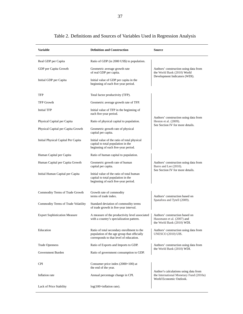<span id="page-37-0"></span>

| Variable                             | <b>Definition and Construction</b>                                                                                                   | <b>Source</b>                                                                                               |
|--------------------------------------|--------------------------------------------------------------------------------------------------------------------------------------|-------------------------------------------------------------------------------------------------------------|
| Real GDP per Capita                  | Ratio of GDP (in 2000 US\$) to population.                                                                                           |                                                                                                             |
| GDP per Capita Growth                | Geometric average growth rate<br>of real GDP per capita.                                                                             | Authors' construction using data from<br>the World Bank (2010) World                                        |
| Initial GDP per Capita               | Initial value of GDP per capita in the<br>beginning of each five-year period.                                                        | Development Indicators (WDI).                                                                               |
| TFP                                  | Total factor productivity (TFP).                                                                                                     |                                                                                                             |
| <b>TFP Growth</b>                    | Geometric average growth rate of TFP.                                                                                                |                                                                                                             |
| <b>Initial TFP</b>                   | Initial value of TFP in the beginning of<br>each five-year period.                                                                   |                                                                                                             |
| Physical Capital per Capita          | Ratio of physical capital to population.                                                                                             | Authors' construction using data from<br>Heston et al. (2009).<br>See Section IV for more details.          |
| Physical Capital per Capita Growth   | Geometric growth rate of physical<br>capital per capita.                                                                             |                                                                                                             |
| Initial Physical Capital Per Capita  | Initial value of the ratio of total physical<br>capital to total population in the<br>beginning of each five-year period.            |                                                                                                             |
| Human Capital per Capita             | Ratio of human capital to population.                                                                                                |                                                                                                             |
| Human Capital per Capita Growth      | Geometric growth rate of human<br>capital per capita.                                                                                | Authors' construction using data from<br>Barro and Lee (2010).                                              |
| Initial Human Capital per Capita     | Initial value of the ratio of total human<br>capital to total population in the<br>beginning of each five-year period.               | See Section IV for more details.                                                                            |
| Commodity Terms of Trade Growth      | Growth rate of commodity<br>terms of trade index.                                                                                    | Authors' construction based on                                                                              |
| Commodity Terms of Trade Volatility  | Standard deviation of commodity terms<br>of trade growth in five-year interval.                                                      | Spatafora and Tytell (2009).                                                                                |
| <b>Export Sophistication Measure</b> | A measure of the productivity level associated<br>with a country's specialization pattern.                                           | Authors' construction based on<br>Hausmann et al. (2007) and<br>the World Bank (2010) WDI.                  |
| Education                            | Ratio of total secondary enrollment to the<br>population of the age group that officially<br>corresponds to that level of education. | Authors' construction using data from<br>UNESCO (2010) UIS.                                                 |
| <b>Trade Openness</b>                | Ratio of Exports and Imports to GDP.                                                                                                 | Authors' construction using data from<br>the World Bank (2010) WDI.                                         |
| Government Burden                    | Ratio of government consumption to GDP.                                                                                              |                                                                                                             |
| <b>CPI</b>                           | Consumer price index $(2000=100)$ at<br>the end of the year.                                                                         |                                                                                                             |
| Inflation rate                       | Annual percentage change in CPI.                                                                                                     | Author's calculations using data from<br>the International Monetary Fund (2010a)<br>World Economic Outlook. |
| Lack of Price Stability              | $log(100 + inflation rate)$ .                                                                                                        |                                                                                                             |

### Table 2. Definitions and Sources of Variables Used in Regression Analysis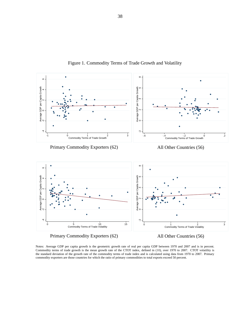<span id="page-38-0"></span>

Figure 1. Commodity Terms of Trade Growth and Volatility

All Other Countries (56)

Notes: Average GDP per capita growth is the geometric growth rate of real per capita GDP between 1970 and 2007 and is in percent. Commodity terms of trade growth is the mean growth rate of the CTOT index, defined in [\(10\)](#page-14-1), over 1970 to 2007. CTOT volatility is the standard deviation of the growth rate of the commodity terms of trade index and is calculated using data from 1970 to 2007. Primary commodity exporters are those countries for which the ratio of primary commodities to total exports exceed 50 percent.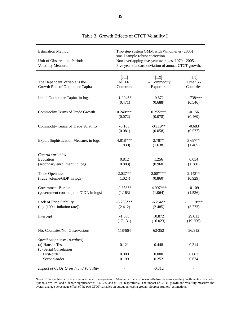<span id="page-39-0"></span>

| <b>Estimation Method:</b><br>Unit of Observation, Period:                   | Two-step system GMM with Windmeijer (2005)<br>small sample robust correction.<br>Non-overlapping five-year averages, 1970 - 2005. |                                                     |                                |  |  |
|-----------------------------------------------------------------------------|-----------------------------------------------------------------------------------------------------------------------------------|-----------------------------------------------------|--------------------------------|--|--|
| Volatility Measure:                                                         |                                                                                                                                   | Five year standard deviation of annual CTOT growth. |                                |  |  |
| The Dependent Variable is the<br>Growth Rate of Output per Capita           | $[1.1]$<br>All 118<br>Countries                                                                                                   | $[1.2]$<br>62 Commodity<br>Exporters                | [1.3]<br>Other 56<br>Countries |  |  |
| Initial Output per Capita, in logs                                          | $-1.204**$                                                                                                                        | $-0.872$                                            | $-1.738***$                    |  |  |
|                                                                             | (0.471)                                                                                                                           | (0.688)                                             | (0.546)                        |  |  |
| Commodity Terms of Trade Growth                                             | $0.240***$                                                                                                                        | $0.255***$                                          | $-0.156$                       |  |  |
|                                                                             | (0.072)                                                                                                                           | (0.078)                                             | (0.469)                        |  |  |
| Commodity Terms of Trade Volatility                                         | $-0.105$                                                                                                                          | $-0.119**$                                          | $-0.683$                       |  |  |
|                                                                             | (0.081)                                                                                                                           | (0.058)                                             | (0.577)                        |  |  |
| <b>Export Sophistication Measure, in logs</b>                               | 4.818***                                                                                                                          | 2.787*                                              | 3.687**                        |  |  |
|                                                                             | (1.830)                                                                                                                           | (1.638)                                             | (1.465)                        |  |  |
| Control variables<br>Education<br>(secondary enrollment, in logs)           | 0.812<br>(0.803)                                                                                                                  | 1.256<br>(0.960)                                    | 0.054<br>(1.380)               |  |  |
| <b>Trade Openness</b>                                                       | 2.027**                                                                                                                           | 2.587***                                            | 2.142**                        |  |  |
| (trade volume/GDP, in logs)                                                 | (1.024)                                                                                                                           | (0.860)                                             | (0.929)                        |  |  |
| Government Burden                                                           | $-2.656**$                                                                                                                        | $-4.007***$                                         | $-0.109$                       |  |  |
| (government consumption/GDP, in logs)                                       | (1.163)                                                                                                                           | (1.064)                                             | (1.536)                        |  |  |
| Lack of Price Stability                                                     | $-6.786***$                                                                                                                       | $-6.264**$                                          | $-11.119***$                   |  |  |
| $(\log [100 + \text{inflation rate}])$                                      | (2.412)                                                                                                                           | (2.485)                                             | (3.773)                        |  |  |
| Intercept                                                                   | $-1.568$                                                                                                                          | 10.872                                              | 29.013                         |  |  |
|                                                                             | (17.131)                                                                                                                          | (16.023)                                            | (19.256)                       |  |  |
| No. Countries/No. Observations                                              | 118/664                                                                                                                           | 62/352                                              | 56/312                         |  |  |
| Specification tests (p-values)<br>(a) Hansen Test<br>(b) Serial Correlation | 0.121                                                                                                                             | 0.448                                               | 0.314                          |  |  |
| First-order                                                                 | 0.000                                                                                                                             | 0.000                                               | 0.003                          |  |  |
| Second-order                                                                | 0.199                                                                                                                             | 0.252                                               | 0.674                          |  |  |
| Impact of CTOT Growth and Volatility                                        |                                                                                                                                   | $-0.312$                                            |                                |  |  |

### Table 3. Growth Effects of CTOT Volatility I

Notes: Time and fixed effects are included in all the regressions. Standard errors are presented below the corresponding coefficients in brackets. Symbols \*\*\*, \*\*, and \* denote significance at 1%, 5%, and at 10% respectively. The impact of CTOT growth and volatility measures the overall average percentage effect of the two CTOT variables on output per capita growth. Source: Authors' estimations.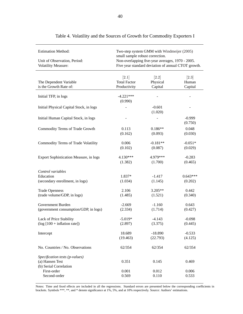<span id="page-40-0"></span>

| <b>Estimation Method:</b>               | small sample robust correction. | Two-step system GMM with Windmeijer (2005)          |            |
|-----------------------------------------|---------------------------------|-----------------------------------------------------|------------|
| Unit of Observation, Period:            |                                 | Non-overlapping five-year averages, 1970 - 2005.    |            |
| <b>Volatility Measure:</b>              |                                 | Five year standard deviation of annual CTOT growth. |            |
|                                         |                                 |                                                     |            |
|                                         | [2.1]                           | [2.2]                                               | $[2.3]$    |
| The Dependent Variable                  | <b>Total Factor</b>             | Physical                                            | Human      |
| is the Growth Rate of:                  | Productivity                    | Capital                                             | Capital    |
| Initial TFP, in logs                    | $-4.221***$<br>(0.990)          |                                                     |            |
|                                         |                                 |                                                     |            |
| Initial Physical Capital Stock, in logs |                                 | $-0.601$<br>(1.020)                                 |            |
| Initial Human Capital Stock, in logs    |                                 |                                                     | $-0.999$   |
|                                         |                                 |                                                     | (0.750)    |
| Commodity Terms of Trade Growth         | 0.113                           | $0.186**$                                           | 0.048      |
|                                         | (0.162)                         | (0.093)                                             | (0.030)    |
|                                         |                                 |                                                     |            |
| Commodity Terms of Trade Volatility     | 0.006                           | $-0.181**$                                          | $-0.051*$  |
|                                         | (0.102)                         | (0.087)                                             | (0.029)    |
|                                         |                                 |                                                     |            |
| Export Sophistication Measure, in logs  | 4.130***                        | 4.979***                                            | $-0.283$   |
|                                         | (1.382)                         | (1.700)                                             | (0.465)    |
|                                         |                                 |                                                     |            |
| Control variables                       |                                 |                                                     |            |
| Education                               | 1.837*                          | $-1.417$                                            | $0.643***$ |
| (secondary enrollment, in logs)         | (1.034)                         | (1.145)                                             | (0.202)    |
|                                         |                                 |                                                     |            |
| <b>Trade Openness</b>                   | 2.106                           | 3.205**                                             | 0.442      |
| (trade volume/GDP, in logs)             | (1.485)                         | (1.521)                                             | (0.340)    |
|                                         |                                 |                                                     |            |
| Government Burden                       | $-2.669$                        | $-1.160$                                            | 0.643      |
| (government consumption/GDP, in logs)   | (2.334)                         | (1.714)                                             | (0.427)    |
|                                         |                                 |                                                     |            |
| Lack of Price Stability                 | $-5.019*$                       | $-4.143$                                            | $-0.098$   |
| $(\log [100 + inflation rate])$         | (2.897)                         | (3.375)                                             | (0.445)    |
|                                         |                                 |                                                     |            |
| Intercept                               | 18.689                          | $-18.890$                                           | $-0.533$   |
|                                         | (19.463)                        | (22.793)                                            | (4.125)    |
|                                         |                                 |                                                     |            |
| No. Countries / No. Observations        | 62/354                          | 62/354                                              | 62/354     |
|                                         |                                 |                                                     |            |
| Specification tests (p-values)          |                                 |                                                     |            |
| (a) Hansen Test                         | 0.351                           | 0.145                                               | 0.469      |
| (b) Serial Correlation                  |                                 |                                                     |            |
| First-order                             | 0.001                           | 0.012                                               | 0.006      |
| Second-order                            | 0.569                           | 0.110                                               | 0.533      |

|  |  | Table 4. Volatility and the Sources of Growth for Commodity Exporters I |  |  |  |  |
|--|--|-------------------------------------------------------------------------|--|--|--|--|
|--|--|-------------------------------------------------------------------------|--|--|--|--|

Notes: Time and fixed effects are included in all the regressions. Standard errors are presented below the corresponding coefficients in brackets. Symbols \*\*\*, \*\*, and \* denote significance at 1%, 5%, and at 10% respectively. Source: Authors' estimations.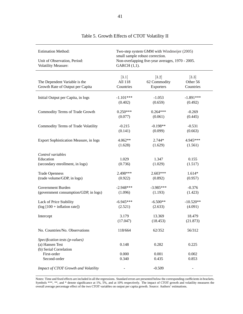<span id="page-41-0"></span>

| <b>Estimation Method:</b><br>Unit of Observation, Period:<br><b>Volatility Measure:</b> | Two-step system GMM with Windmeijer (2005)<br>small sample robust correction.<br>Non-overlapping five-year averages, 1970 - 2005.<br>GARCH (1,1). |                                    |                                  |  |  |
|-----------------------------------------------------------------------------------------|---------------------------------------------------------------------------------------------------------------------------------------------------|------------------------------------|----------------------------------|--|--|
| The Dependent Variable is the<br>Growth Rate of Output per Capita                       | [3.1]<br>All 118<br>Countries                                                                                                                     | [3.2]<br>62 Commodity<br>Exporters | $[3.3]$<br>Other 56<br>Countries |  |  |
| Initial Output per Capita, in logs                                                      | $-1.101***$                                                                                                                                       | $-1.053$                           | $-1.891***$                      |  |  |
|                                                                                         | (0.402)                                                                                                                                           | (0.659)                            | (0.492)                          |  |  |
| Commodity Terms of Trade Growth                                                         | $0.250***$                                                                                                                                        | $0.264***$                         | $-0.269$                         |  |  |
|                                                                                         | (0.077)                                                                                                                                           | (0.061)                            | (0.445)                          |  |  |
| Commodity Terms of Trade Volatility                                                     | $-0.215$                                                                                                                                          | $-0.198**$                         | $-0.531$                         |  |  |
|                                                                                         | (0.141)                                                                                                                                           | (0.099)                            | (0.663)                          |  |  |
| Export Sophistication Measure, in logs                                                  | 4.062**                                                                                                                                           | 2.744*                             | 4.945***                         |  |  |
|                                                                                         | (1.628)                                                                                                                                           | (1.629)                            | (1.561)                          |  |  |
| Control variables<br>Education<br>(secondary enrollment, in logs)                       | 1.029<br>(0.736)                                                                                                                                  | 1.347<br>(1.029)                   | 0.155<br>(1.517)                 |  |  |
| <b>Trade Openness</b>                                                                   | 2.498***                                                                                                                                          | $2.603***$                         | $1.614*$                         |  |  |
| (trade volume/GDP, in logs)                                                             | (0.922)                                                                                                                                           | (0.892)                            | (0.957)                          |  |  |
| Government Burden                                                                       | $-2.948***$                                                                                                                                       | $-3.985***$                        | $-0.376$                         |  |  |
| (government consumption/GDP, in logs)                                                   | (1.096)                                                                                                                                           | (1.193)                            | (1.423)                          |  |  |
| Lack of Price Stability                                                                 | $-6.945***$                                                                                                                                       | $-6.500**$                         | $-10.520**$                      |  |  |
| $(\log [100 + \text{inflation rate}])$                                                  | (2.521)                                                                                                                                           | (2.633)                            | (4.091)                          |  |  |
| Intercept                                                                               | 3.179                                                                                                                                             | 13.369                             | 18.479                           |  |  |
|                                                                                         | (17.047)                                                                                                                                          | (18.453)                           | (21.873)                         |  |  |
| No. Countries/No. Observations                                                          | 118/664                                                                                                                                           | 62/352                             | 56/312                           |  |  |
| Specification tests (p-values)<br>(a) Hansen Test<br>(b) Serial Correlation             | 0.148                                                                                                                                             | 0.282                              | 0.225                            |  |  |
| First-order                                                                             | 0.000                                                                                                                                             | 0.001                              | 0.002                            |  |  |
| Second-order                                                                            | 0.340                                                                                                                                             | 0.435                              | 0.853                            |  |  |
| Impact of CTOT Growth and Volatility                                                    |                                                                                                                                                   | $-0.509$                           |                                  |  |  |

# Table 5. Growth Effects of CTOT Volatility II

Notes: Time and fixed effects are included in all the regressions. Standard errors are presented below the corresponding coefficients in brackets. Symbols \*\*\*, \*\*, and \* denote significance at 1%, 5%, and at 10% respectively. The impact of CTOT growth and volatility measures the overall average percentage effect of the two CTOT variables on output per capita growth. Source: Authors' estimations.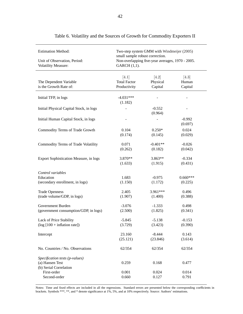<span id="page-42-0"></span>

| <b>Estimation Method:</b><br>Unit of Observation, Period:<br><b>Volatility Measure:</b> | Two-step system GMM with Windmeijer (2005)<br>small sample robust correction.<br>Non-overlapping five-year averages, 1970 - 2005.<br>GARCH (1,1). |                              |                           |  |  |
|-----------------------------------------------------------------------------------------|---------------------------------------------------------------------------------------------------------------------------------------------------|------------------------------|---------------------------|--|--|
| The Dependent Variable<br>is the Growth Rate of:                                        | [4.1]<br><b>Total Factor</b><br>Productivity                                                                                                      | [4.2]<br>Physical<br>Capital | [4.3]<br>Human<br>Capital |  |  |
| Initial TFP, in logs                                                                    | $-4.031***$<br>(1.182)                                                                                                                            |                              |                           |  |  |
| Initial Physical Capital Stock, in logs                                                 |                                                                                                                                                   | $-0.552$<br>(0.964)          |                           |  |  |
| Initial Human Capital Stock, in logs                                                    |                                                                                                                                                   |                              | $-0.992$<br>(0.697)       |  |  |
| Commodity Terms of Trade Growth                                                         | 0.104                                                                                                                                             | $0.250*$                     | 0.024                     |  |  |
|                                                                                         | (0.174)                                                                                                                                           | (0.145)                      | (0.029)                   |  |  |
| Commodity Terms of Trade Volatility                                                     | 0.071                                                                                                                                             | $-0.401**$                   | $-0.026$                  |  |  |
|                                                                                         | (0.262)                                                                                                                                           | (0.182)                      | (0.042)                   |  |  |
| <b>Export Sophistication Measure, in logs</b>                                           | 3.870**                                                                                                                                           | $3.863**$                    | $-0.334$                  |  |  |
|                                                                                         | (1.633)                                                                                                                                           | (1.915)                      | (0.431)                   |  |  |
| Control variables<br>Education<br>(secondary enrollment, in logs)                       | 1.683<br>(1.150)                                                                                                                                  | $-0.975$<br>(1.172)          | $0.660***$<br>(0.225)     |  |  |
| <b>Trade Openness</b>                                                                   | 2.405                                                                                                                                             | 3.961***                     | 0.496                     |  |  |
| (trade volume/GDP, in logs)                                                             | (1.907)                                                                                                                                           | (1.400)                      | (0.388)                   |  |  |
| Government Burden                                                                       | $-3.076$                                                                                                                                          | $-1.333$                     | 0.498                     |  |  |
| (government consumption/GDP, in logs)                                                   | (2.500)                                                                                                                                           | (1.825)                      | (0.341)                   |  |  |
| Lack of Price Stability                                                                 | $-5.845$                                                                                                                                          | $-5.138$                     | $-0.153$                  |  |  |
| $(\log [100 + \text{inflation rate}])$                                                  | (3.729)                                                                                                                                           | (3.423)                      | (0.390)                   |  |  |
| Intercept                                                                               | 23.160                                                                                                                                            | $-8.444$                     | 0.143                     |  |  |
|                                                                                         | (25.121)                                                                                                                                          | (23.846)                     | (3.614)                   |  |  |
| No. Countries / No. Observations                                                        | 62/354                                                                                                                                            | 62/354                       | 62/354                    |  |  |
| Specification tests (p-values)<br>(a) Hansen Test<br>(b) Serial Correlation             | 0.259                                                                                                                                             | 0.168                        | 0.477                     |  |  |
| First-order                                                                             | 0.001                                                                                                                                             | 0.024                        | 0.014                     |  |  |
| Second-order                                                                            | 0.660                                                                                                                                             | 0.127                        | 0.791                     |  |  |

Table 6. Volatility and the Sources of Growth for Commodity Exporters II

Notes: Time and fixed effects are included in all the regressions. Standard errors are presented below the corresponding coefficients in brackets. Symbols \*\*\*, \*\*, and \* denote significance at 1%, 5%, and at 10% respectively. Source: Authors' estimations.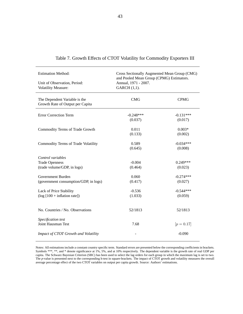| <b>Estimation Method:</b>                                         | Cross Sectionally Augmented Mean Group (CMG)<br>and Pooled Mean Group (CPMG) Estimators. |              |  |  |  |
|-------------------------------------------------------------------|------------------------------------------------------------------------------------------|--------------|--|--|--|
| Unit of Observation, Period:                                      | Annual, 1971 - 2007.                                                                     |              |  |  |  |
| Volatility Measure:                                               | GARCH (1,1).                                                                             |              |  |  |  |
|                                                                   |                                                                                          |              |  |  |  |
| The Dependent Variable is the<br>Growth Rate of Output per Capita | <b>CMG</b>                                                                               | <b>CPMG</b>  |  |  |  |
|                                                                   |                                                                                          |              |  |  |  |
| <b>Error Correction Term</b>                                      | $-0.248***$                                                                              | $-0.131***$  |  |  |  |
|                                                                   | (0.037)                                                                                  | (0.017)      |  |  |  |
| Commodity Terms of Trade Growth                                   | 0.011                                                                                    | $0.003*$     |  |  |  |
|                                                                   | (0.133)                                                                                  | (0.002)      |  |  |  |
| Commodity Terms of Trade Volatility                               | 0.589                                                                                    | $-0.034***$  |  |  |  |
|                                                                   | (0.645)                                                                                  | (0.008)      |  |  |  |
| Control variables                                                 |                                                                                          |              |  |  |  |
| <b>Trade Openness</b>                                             | $-0.004$                                                                                 | $0.249***$   |  |  |  |
| (trade volume/GDP, in logs)                                       | (0.464)                                                                                  | (0.023)      |  |  |  |
|                                                                   |                                                                                          |              |  |  |  |
| Government Burden                                                 | 0.060                                                                                    | $-0.274***$  |  |  |  |
| (government consumption/GDP, in logs)                             | (0.417)                                                                                  | (0.027)      |  |  |  |
| Lack of Price Stability                                           | $-0.536$                                                                                 | $-0.544***$  |  |  |  |
| $(log [100 + inflation rate])$                                    | (1.033)                                                                                  | (0.059)      |  |  |  |
|                                                                   |                                                                                          |              |  |  |  |
| No. Countries / No. Observations                                  | 52/1813                                                                                  | 52/1813      |  |  |  |
|                                                                   |                                                                                          |              |  |  |  |
| Specification test                                                |                                                                                          |              |  |  |  |
| Joint Hausman Test                                                | 7.68                                                                                     | $[p = 0.17]$ |  |  |  |
| Impact of CTOT Growth and Volatility                              |                                                                                          | $-0.090$     |  |  |  |
|                                                                   |                                                                                          |              |  |  |  |

|  |  |  | Table 7. Growth Effects of CTOT Volatility for Commodity Exporters III |  |  |
|--|--|--|------------------------------------------------------------------------|--|--|
|  |  |  |                                                                        |  |  |

<span id="page-43-0"></span> $\overline{a}$ 

Notes: All estimations include a constant country specific term. Standard errors are presented below the corresponding coefficients in brackets. Symbols \*\*\*, \*\*, and \* denote significance at 1%, 5%, and at 10% respectively. The dependent variable is the growth rate of real GDP per capita. The Schwarz Bayesian Criterion (SBC) has been used to select the lag orders for each group in which the maximum lag is set to two. The *p*-value is presented next to the corresponding h-test in square-brackets. The impact of CTOT growth and volatility measures the overall average percentage effect of the two CTOT variables on output per capita growth. Source: Authors' estimations.